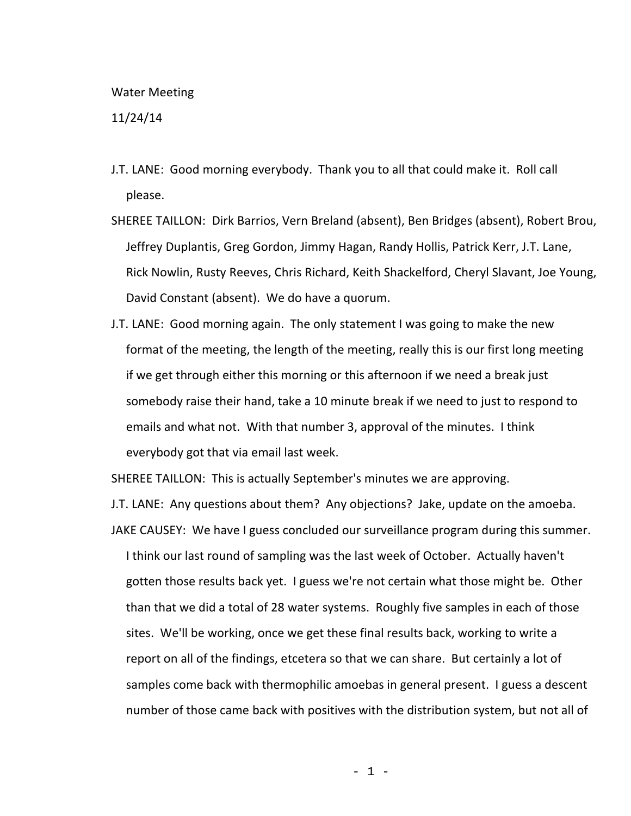## Water Meeting

11/24/14

- J.T. LANE: Good morning everybody. Thank you to all that could make it. Roll call please.
- SHEREE TAILLON: Dirk Barrios, Vern Breland (absent), Ben Bridges (absent), Robert Brou, Jeffrey Duplantis, Greg Gordon, Jimmy Hagan, Randy Hollis, Patrick Kerr, J.T. Lane, Rick Nowlin, Rusty Reeves, Chris Richard, Keith Shackelford, Cheryl Slavant, Joe Young, David Constant (absent). We do have a quorum.
- J.T. LANE: Good morning again. The only statement I was going to make the new format of the meeting, the length of the meeting, really this is our first long meeting if we get through either this morning or this afternoon if we need a break just somebody raise their hand, take a 10 minute break if we need to just to respond to emails and what not. With that number 3, approval of the minutes. I think everybody got that via email last week.

SHEREE TAILLON: This is actually September's minutes we are approving.

J.T. LANE: Any questions about them? Any objections? Jake, update on the amoeba.

JAKE CAUSEY: We have I guess concluded our surveillance program during this summer. I think our last round of sampling was the last week of October. Actually haven't gotten those results back yet. I guess we're not certain what those might be. Other than that we did a total of 28 water systems. Roughly five samples in each of those sites. We'll be working, once we get these final results back, working to write a report on all of the findings, etcetera so that we can share. But certainly a lot of samples come back with thermophilic amoebas in general present. I guess a descent number of those came back with positives with the distribution system, but not all of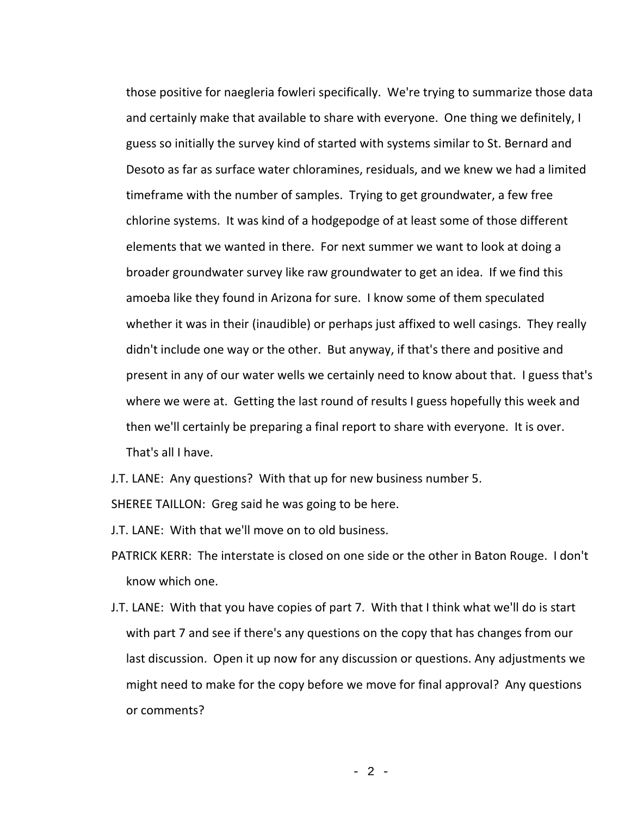those positive for naegleria fowleri specifically. We're trying to summarize those data and certainly make that available to share with everyone. One thing we definitely, I guess so initially the survey kind of started with systems similar to St. Bernard and Desoto as far as surface water chloramines, residuals, and we knew we had a limited timeframe with the number of samples. Trying to get groundwater, a few free chlorine systems. It was kind of a hodgepodge of at least some of those different elements that we wanted in there. For next summer we want to look at doing a broader groundwater survey like raw groundwater to get an idea. If we find this amoeba like they found in Arizona for sure. I know some of them speculated whether it was in their (inaudible) or perhaps just affixed to well casings. They really didn't include one way or the other. But anyway, if that's there and positive and present in any of our water wells we certainly need to know about that. I guess that's where we were at. Getting the last round of results I guess hopefully this week and then we'll certainly be preparing a final report to share with everyone. It is over. That's all I have.

J.T. LANE: Any questions? With that up for new business number 5.

SHEREE TAILLON: Greg said he was going to be here.

J.T. LANE: With that we'll move on to old business.

- PATRICK KERR: The interstate is closed on one side or the other in Baton Rouge. I don't know which one.
- J.T. LANE: With that you have copies of part 7. With that I think what we'll do is start with part 7 and see if there's any questions on the copy that has changes from our last discussion. Open it up now for any discussion or questions. Any adjustments we might need to make for the copy before we move for final approval? Any questions or comments?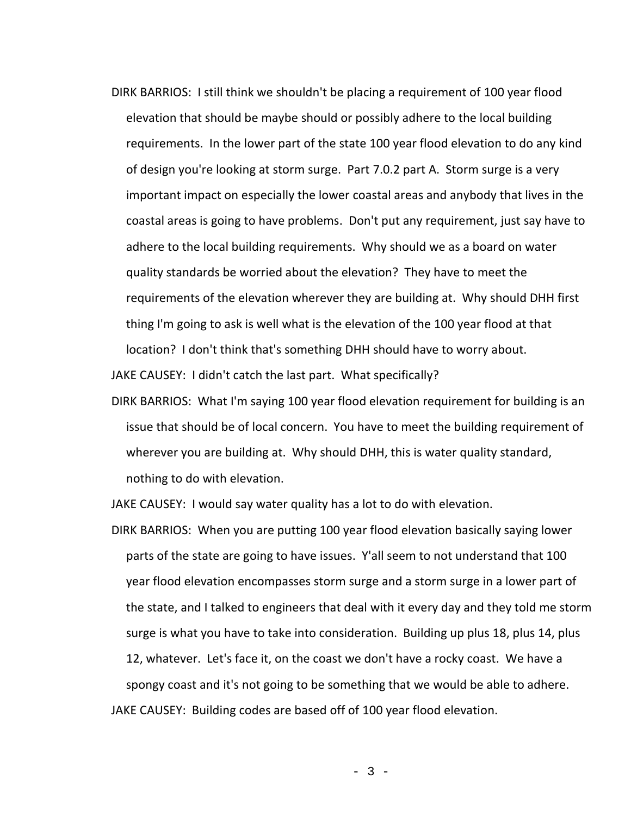DIRK BARRIOS: I still think we shouldn't be placing a requirement of 100 year flood elevation that should be maybe should or possibly adhere to the local building requirements. In the lower part of the state 100 year flood elevation to do any kind of design you're looking at storm surge. Part 7.0.2 part A. Storm surge is a very important impact on especially the lower coastal areas and anybody that lives in the coastal areas is going to have problems. Don't put any requirement, just say have to adhere to the local building requirements. Why should we as a board on water quality standards be worried about the elevation? They have to meet the requirements of the elevation wherever they are building at. Why should DHH first thing I'm going to ask is well what is the elevation of the 100 year flood at that location? I don't think that's something DHH should have to worry about.

JAKE CAUSEY: I didn't catch the last part. What specifically?

DIRK BARRIOS: What I'm saying 100 year flood elevation requirement for building is an issue that should be of local concern. You have to meet the building requirement of wherever you are building at. Why should DHH, this is water quality standard, nothing to do with elevation.

JAKE CAUSEY: I would say water quality has a lot to do with elevation.

DIRK BARRIOS: When you are putting 100 year flood elevation basically saying lower parts of the state are going to have issues. Y'all seem to not understand that 100 year flood elevation encompasses storm surge and a storm surge in a lower part of the state, and I talked to engineers that deal with it every day and they told me storm surge is what you have to take into consideration. Building up plus 18, plus 14, plus 12, whatever. Let's face it, on the coast we don't have a rocky coast. We have a spongy coast and it's not going to be something that we would be able to adhere. JAKE CAUSEY: Building codes are based off of 100 year flood elevation.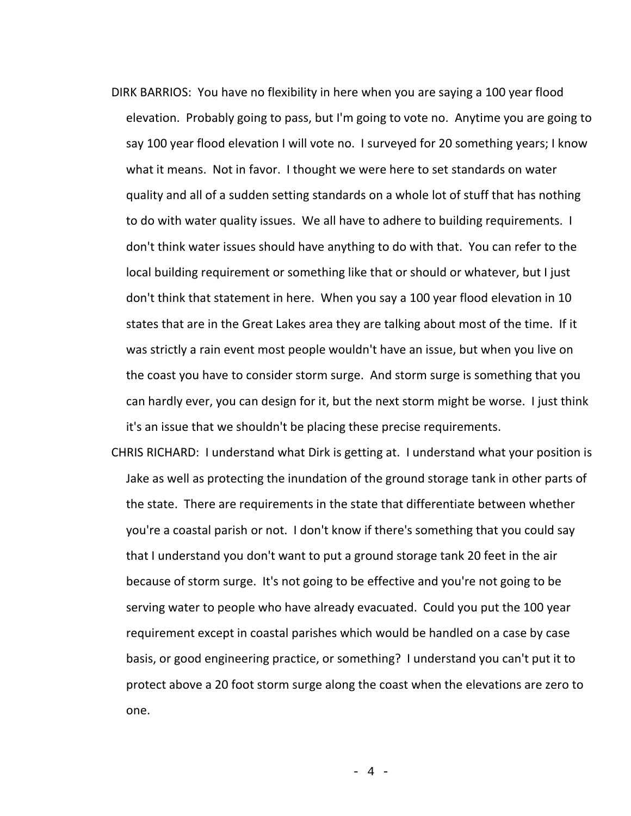- DIRK BARRIOS: You have no flexibility in here when you are saying a 100 year flood elevation. Probably going to pass, but I'm going to vote no. Anytime you are going to say 100 year flood elevation I will vote no. I surveyed for 20 something years; I know what it means. Not in favor. I thought we were here to set standards on water quality and all of a sudden setting standards on a whole lot of stuff that has nothing to do with water quality issues. We all have to adhere to building requirements. I don't think water issues should have anything to do with that. You can refer to the local building requirement or something like that or should or whatever, but I just don't think that statement in here. When you say a 100 year flood elevation in 10 states that are in the Great Lakes area they are talking about most of the time. If it was strictly a rain event most people wouldn't have an issue, but when you live on the coast you have to consider storm surge. And storm surge is something that you can hardly ever, you can design for it, but the next storm might be worse. I just think it's an issue that we shouldn't be placing these precise requirements.
- CHRIS RICHARD: I understand what Dirk is getting at. I understand what your position is Jake as well as protecting the inundation of the ground storage tank in other parts of the state. There are requirements in the state that differentiate between whether you're a coastal parish or not. I don't know if there's something that you could say that I understand you don't want to put a ground storage tank 20 feet in the air because of storm surge. It's not going to be effective and you're not going to be serving water to people who have already evacuated. Could you put the 100 year requirement except in coastal parishes which would be handled on a case by case basis, or good engineering practice, or something? I understand you can't put it to protect above a 20 foot storm surge along the coast when the elevations are zero to one.

- 4 -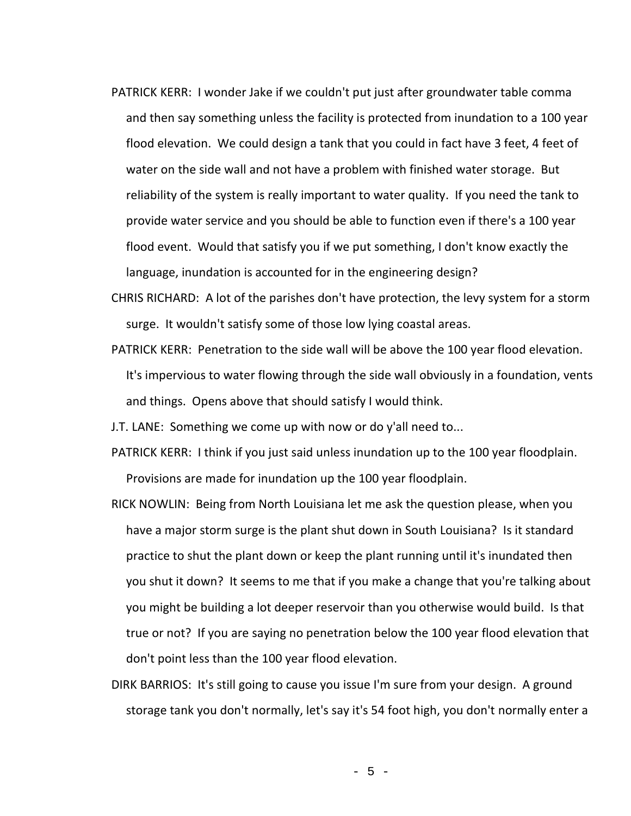- PATRICK KERR: I wonder Jake if we couldn't put just after groundwater table comma and then say something unless the facility is protected from inundation to a 100 year flood elevation. We could design a tank that you could in fact have 3 feet, 4 feet of water on the side wall and not have a problem with finished water storage. But reliability of the system is really important to water quality. If you need the tank to provide water service and you should be able to function even if there's a 100 year flood event. Would that satisfy you if we put something, I don't know exactly the language, inundation is accounted for in the engineering design?
- CHRIS RICHARD: A lot of the parishes don't have protection, the levy system for a storm surge. It wouldn't satisfy some of those low lying coastal areas.
- PATRICK KERR: Penetration to the side wall will be above the 100 year flood elevation. It's impervious to water flowing through the side wall obviously in a foundation, vents and things. Opens above that should satisfy I would think.

J.T. LANE: Something we come up with now or do y'all need to...

- PATRICK KERR: I think if you just said unless inundation up to the 100 year floodplain. Provisions are made for inundation up the 100 year floodplain.
- RICK NOWLIN: Being from North Louisiana let me ask the question please, when you have a major storm surge is the plant shut down in South Louisiana? Is it standard practice to shut the plant down or keep the plant running until it's inundated then you shut it down? It seems to me that if you make a change that you're talking about you might be building a lot deeper reservoir than you otherwise would build. Is that true or not? If you are saying no penetration below the 100 year flood elevation that don't point less than the 100 year flood elevation.
- DIRK BARRIOS: It's still going to cause you issue I'm sure from your design. A ground storage tank you don't normally, let's say it's 54 foot high, you don't normally enter a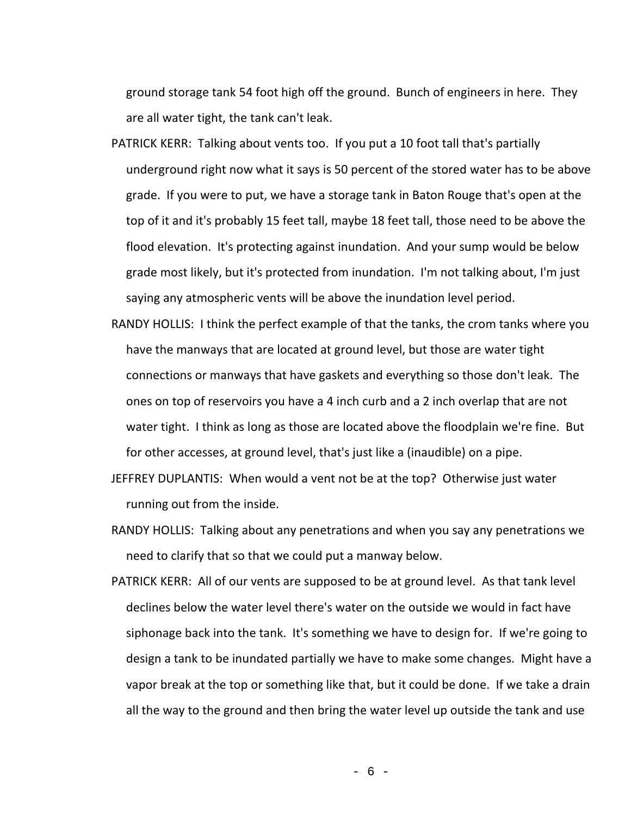ground storage tank 54 foot high off the ground. Bunch of engineers in here. They are all water tight, the tank can't leak.

- PATRICK KERR: Talking about vents too. If you put a 10 foot tall that's partially underground right now what it says is 50 percent of the stored water has to be above grade. If you were to put, we have a storage tank in Baton Rouge that's open at the top of it and it's probably 15 feet tall, maybe 18 feet tall, those need to be above the flood elevation. It's protecting against inundation. And your sump would be below grade most likely, but it's protected from inundation. I'm not talking about, I'm just saying any atmospheric vents will be above the inundation level period.
- RANDY HOLLIS: I think the perfect example of that the tanks, the crom tanks where you have the manways that are located at ground level, but those are water tight connections or manways that have gaskets and everything so those don't leak. The ones on top of reservoirs you have a 4 inch curb and a 2 inch overlap that are not water tight. I think as long as those are located above the floodplain we're fine. But for other accesses, at ground level, that's just like a (inaudible) on a pipe.
- JEFFREY DUPLANTIS: When would a vent not be at the top? Otherwise just water running out from the inside.
- RANDY HOLLIS: Talking about any penetrations and when you say any penetrations we need to clarify that so that we could put a manway below.
- PATRICK KERR: All of our vents are supposed to be at ground level. As that tank level declines below the water level there's water on the outside we would in fact have siphonage back into the tank. It's something we have to design for. If we're going to design a tank to be inundated partially we have to make some changes. Might have a vapor break at the top or something like that, but it could be done. If we take a drain all the way to the ground and then bring the water level up outside the tank and use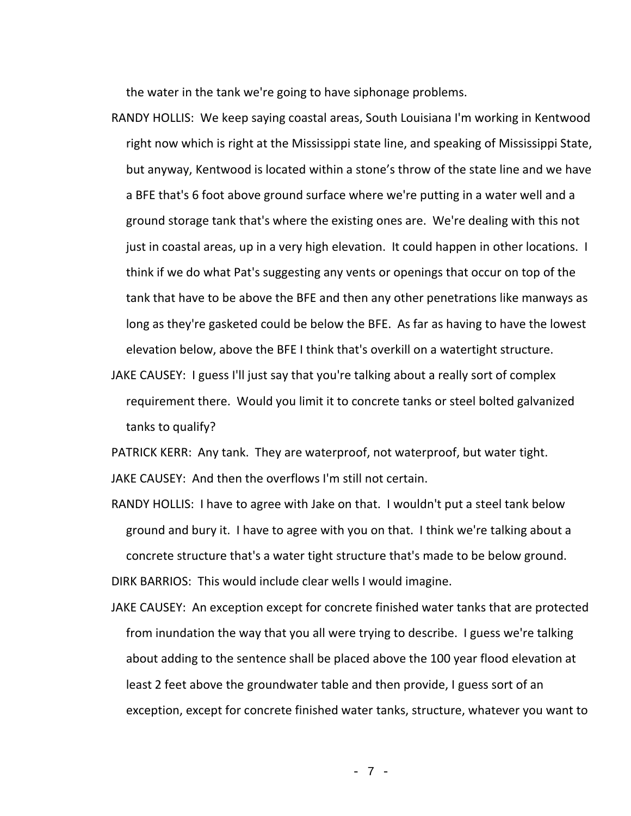the water in the tank we're going to have siphonage problems.

- RANDY HOLLIS: We keep saying coastal areas, South Louisiana I'm working in Kentwood right now which is right at the Mississippi state line, and speaking of Mississippi State, but anyway, Kentwood is located within a stone's throw of the state line and we have a BFE that's 6 foot above ground surface where we're putting in a water well and a ground storage tank that's where the existing ones are. We're dealing with this not just in coastal areas, up in a very high elevation. It could happen in other locations. I think if we do what Pat's suggesting any vents or openings that occur on top of the tank that have to be above the BFE and then any other penetrations like manways as long as they're gasketed could be below the BFE. As far as having to have the lowest elevation below, above the BFE I think that's overkill on a watertight structure.
- JAKE CAUSEY: I guess I'll just say that you're talking about a really sort of complex requirement there. Would you limit it to concrete tanks or steel bolted galvanized tanks to qualify?

PATRICK KERR: Any tank. They are waterproof, not waterproof, but water tight. JAKE CAUSEY: And then the overflows I'm still not certain.

- RANDY HOLLIS: I have to agree with Jake on that. I wouldn't put a steel tank below ground and bury it. I have to agree with you on that. I think we're talking about a concrete structure that's a water tight structure that's made to be below ground. DIRK BARRIOS: This would include clear wells I would imagine.
- JAKE CAUSEY: An exception except for concrete finished water tanks that are protected from inundation the way that you all were trying to describe. I guess we're talking about adding to the sentence shall be placed above the 100 year flood elevation at least 2 feet above the groundwater table and then provide, I guess sort of an exception, except for concrete finished water tanks, structure, whatever you want to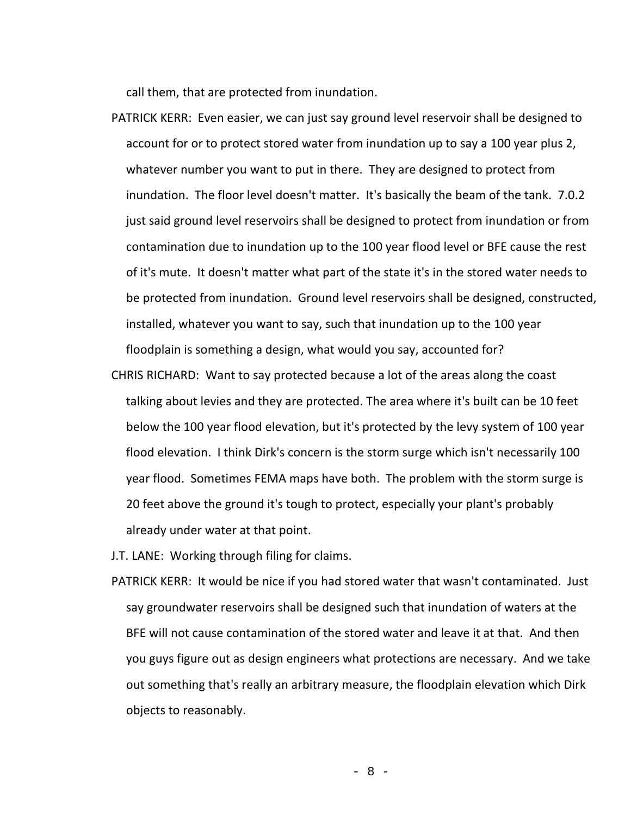call them, that are protected from inundation.

- PATRICK KERR: Even easier, we can just say ground level reservoir shall be designed to account for or to protect stored water from inundation up to say a 100 year plus 2, whatever number you want to put in there. They are designed to protect from inundation. The floor level doesn't matter. It's basically the beam of the tank. 7.0.2 just said ground level reservoirs shall be designed to protect from inundation or from contamination due to inundation up to the 100 year flood level or BFE cause the rest of it's mute. It doesn't matter what part of the state it's in the stored water needs to be protected from inundation. Ground level reservoirs shall be designed, constructed, installed, whatever you want to say, such that inundation up to the 100 year floodplain is something a design, what would you say, accounted for?
- CHRIS RICHARD: Want to say protected because a lot of the areas along the coast talking about levies and they are protected. The area where it's built can be 10 feet below the 100 year flood elevation, but it's protected by the levy system of 100 year flood elevation. I think Dirk's concern is the storm surge which isn't necessarily 100 year flood. Sometimes FEMA maps have both. The problem with the storm surge is 20 feet above the ground it's tough to protect, especially your plant's probably already under water at that point.

J.T. LANE: Working through filing for claims.

PATRICK KERR: It would be nice if you had stored water that wasn't contaminated. Just say groundwater reservoirs shall be designed such that inundation of waters at the BFE will not cause contamination of the stored water and leave it at that. And then you guys figure out as design engineers what protections are necessary. And we take out something that's really an arbitrary measure, the floodplain elevation which Dirk objects to reasonably.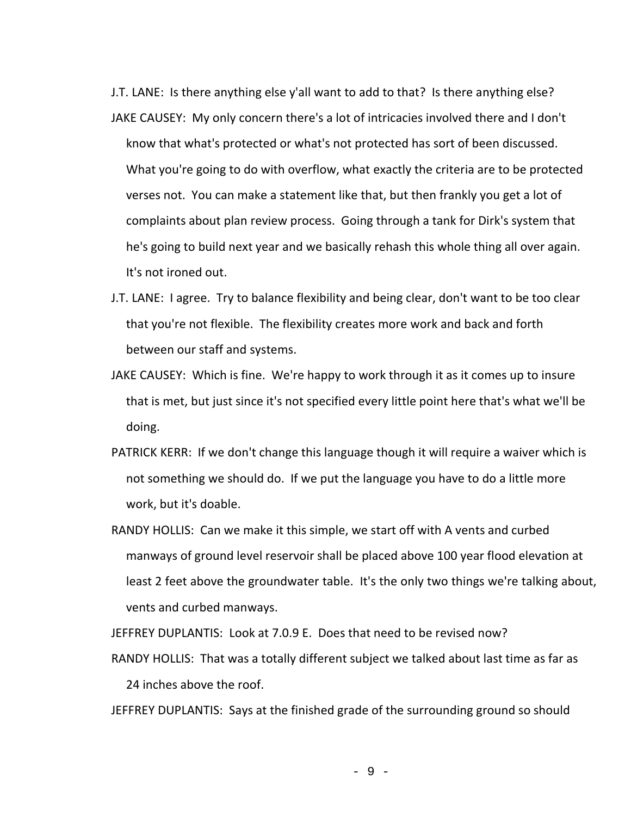J.T. LANE: Is there anything else y'all want to add to that? Is there anything else? JAKE CAUSEY: My only concern there's a lot of intricacies involved there and I don't know that what's protected or what's not protected has sort of been discussed. What you're going to do with overflow, what exactly the criteria are to be protected verses not. You can make a statement like that, but then frankly you get a lot of complaints about plan review process. Going through a tank for Dirk's system that he's going to build next year and we basically rehash this whole thing all over again. It's not ironed out.

- J.T. LANE: I agree. Try to balance flexibility and being clear, don't want to be too clear that you're not flexible. The flexibility creates more work and back and forth between our staff and systems.
- JAKE CAUSEY: Which is fine. We're happy to work through it as it comes up to insure that is met, but just since it's not specified every little point here that's what we'll be doing.
- PATRICK KERR: If we don't change this language though it will require a waiver which is not something we should do. If we put the language you have to do a little more work, but it's doable.
- RANDY HOLLIS: Can we make it this simple, we start off with A vents and curbed manways of ground level reservoir shall be placed above 100 year flood elevation at least 2 feet above the groundwater table. It's the only two things we're talking about, vents and curbed manways.

JEFFREY DUPLANTIS: Look at 7.0.9 E. Does that need to be revised now?

RANDY HOLLIS: That was a totally different subject we talked about last time as far as 24 inches above the roof.

JEFFREY DUPLANTIS: Says at the finished grade of the surrounding ground so should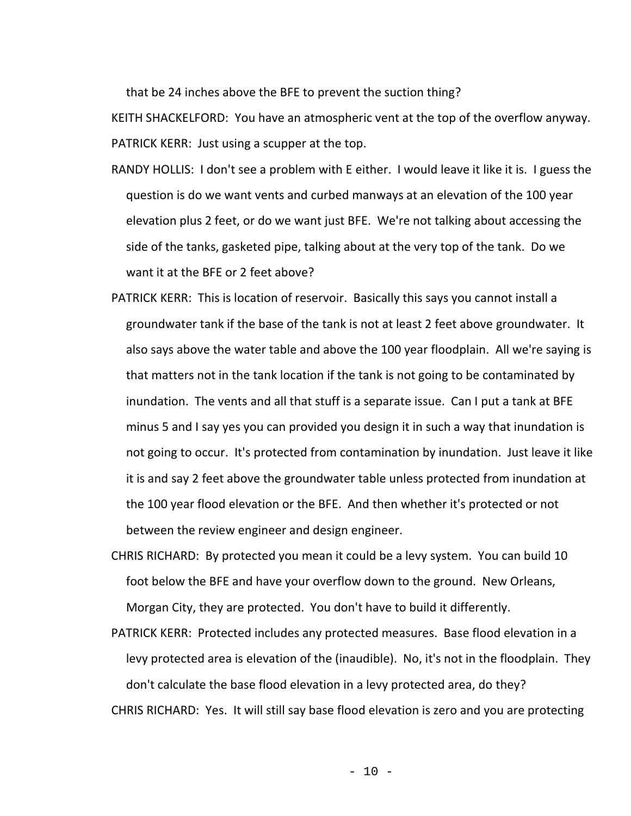that be 24 inches above the BFE to prevent the suction thing?

KEITH SHACKELFORD: You have an atmospheric vent at the top of the overflow anyway. PATRICK KERR: Just using a scupper at the top.

- RANDY HOLLIS: I don't see a problem with E either. I would leave it like it is. I guess the question is do we want vents and curbed manways at an elevation of the 100 year elevation plus 2 feet, or do we want just BFE. We're not talking about accessing the side of the tanks, gasketed pipe, talking about at the very top of the tank. Do we want it at the BFE or 2 feet above?
- PATRICK KERR: This is location of reservoir. Basically this says you cannot install a groundwater tank if the base of the tank is not at least 2 feet above groundwater. It also says above the water table and above the 100 year floodplain. All we're saying is that matters not in the tank location if the tank is not going to be contaminated by inundation. The vents and all that stuff is a separate issue. Can I put a tank at BFE minus 5 and I say yes you can provided you design it in such a way that inundation is not going to occur. It's protected from contamination by inundation. Just leave it like it is and say 2 feet above the groundwater table unless protected from inundation at the 100 year flood elevation or the BFE. And then whether it's protected or not between the review engineer and design engineer.
- CHRIS RICHARD: By protected you mean it could be a levy system. You can build 10 foot below the BFE and have your overflow down to the ground. New Orleans, Morgan City, they are protected. You don't have to build it differently.
- PATRICK KERR: Protected includes any protected measures. Base flood elevation in a levy protected area is elevation of the (inaudible). No, it's not in the floodplain. They don't calculate the base flood elevation in a levy protected area, do they?

CHRIS RICHARD: Yes. It will still say base flood elevation is zero and you are protecting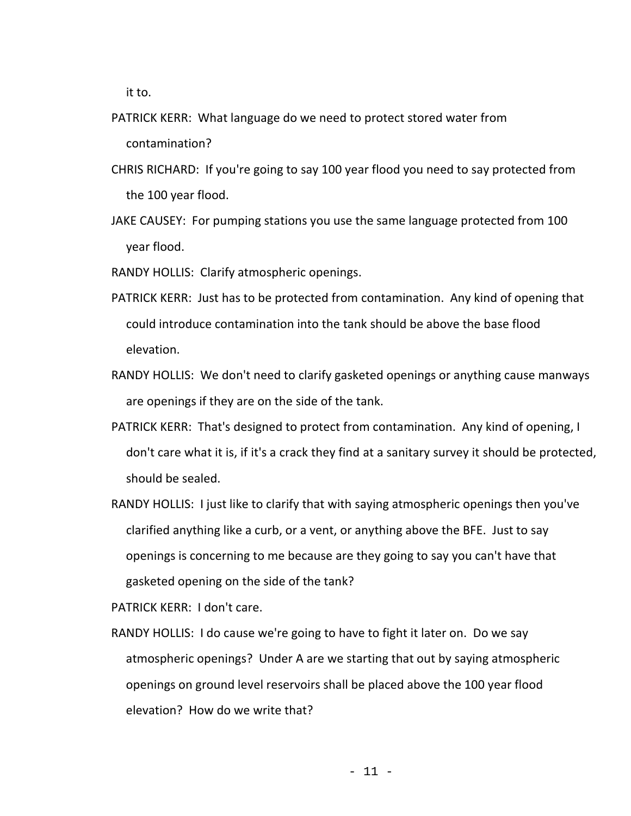it to.

- PATRICK KERR: What language do we need to protect stored water from contamination?
- CHRIS RICHARD: If you're going to say 100 year flood you need to say protected from the 100 year flood.
- JAKE CAUSEY: For pumping stations you use the same language protected from 100 year flood.
- RANDY HOLLIS: Clarify atmospheric openings.
- PATRICK KERR: Just has to be protected from contamination. Any kind of opening that could introduce contamination into the tank should be above the base flood elevation.
- RANDY HOLLIS: We don't need to clarify gasketed openings or anything cause manways are openings if they are on the side of the tank.
- PATRICK KERR: That's designed to protect from contamination. Any kind of opening, I don't care what it is, if it's a crack they find at a sanitary survey it should be protected, should be sealed.
- RANDY HOLLIS: I just like to clarify that with saying atmospheric openings then you've clarified anything like a curb, or a vent, or anything above the BFE. Just to say openings is concerning to me because are they going to say you can't have that gasketed opening on the side of the tank?

PATRICK KERR: I don't care.

RANDY HOLLIS: I do cause we're going to have to fight it later on. Do we say atmospheric openings? Under A are we starting that out by saying atmospheric openings on ground level reservoirs shall be placed above the 100 year flood elevation? How do we write that?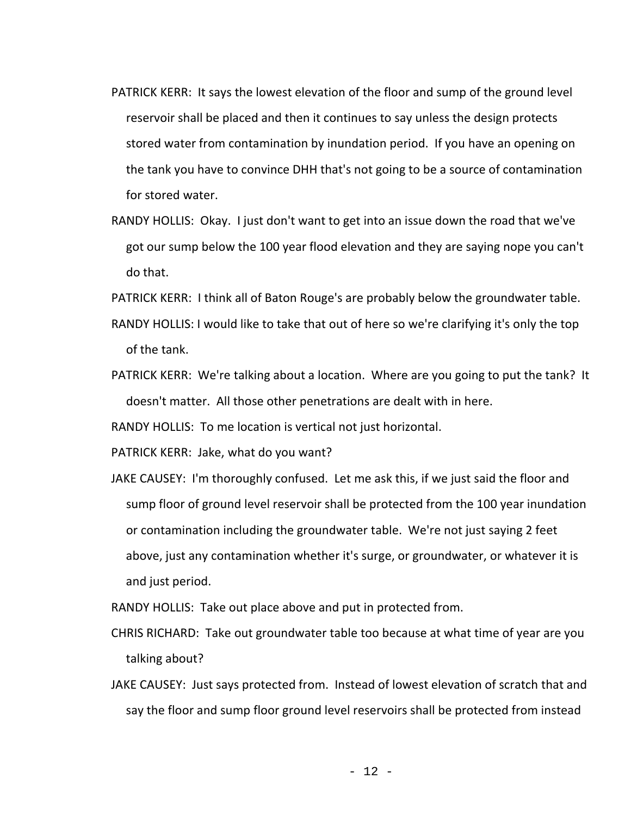- PATRICK KERR: It says the lowest elevation of the floor and sump of the ground level reservoir shall be placed and then it continues to say unless the design protects stored water from contamination by inundation period. If you have an opening on the tank you have to convince DHH that's not going to be a source of contamination for stored water.
- RANDY HOLLIS: Okay. I just don't want to get into an issue down the road that we've got our sump below the 100 year flood elevation and they are saying nope you can't do that.
- PATRICK KERR: I think all of Baton Rouge's are probably below the groundwater table.
- RANDY HOLLIS: I would like to take that out of here so we're clarifying it's only the top of the tank.
- PATRICK KERR: We're talking about a location. Where are you going to put the tank? It doesn't matter. All those other penetrations are dealt with in here.

RANDY HOLLIS: To me location is vertical not just horizontal.

PATRICK KERR: Jake, what do you want?

JAKE CAUSEY: I'm thoroughly confused. Let me ask this, if we just said the floor and sump floor of ground level reservoir shall be protected from the 100 year inundation or contamination including the groundwater table. We're not just saying 2 feet above, just any contamination whether it's surge, or groundwater, or whatever it is and just period.

RANDY HOLLIS: Take out place above and put in protected from.

- CHRIS RICHARD: Take out groundwater table too because at what time of year are you talking about?
- JAKE CAUSEY: Just says protected from. Instead of lowest elevation of scratch that and say the floor and sump floor ground level reservoirs shall be protected from instead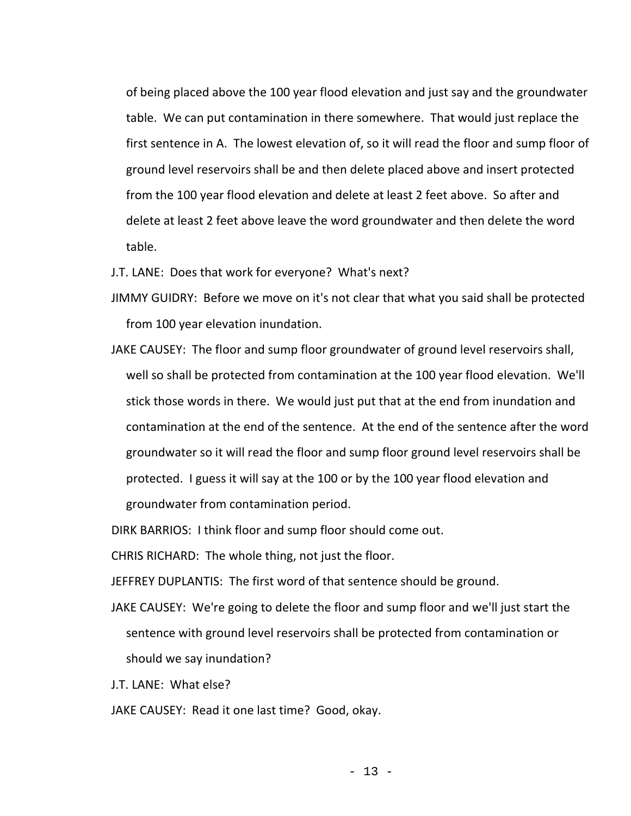of being placed above the 100 year flood elevation and just say and the groundwater table. We can put contamination in there somewhere. That would just replace the first sentence in A. The lowest elevation of, so it will read the floor and sump floor of ground level reservoirs shall be and then delete placed above and insert protected from the 100 year flood elevation and delete at least 2 feet above. So after and delete at least 2 feet above leave the word groundwater and then delete the word table.

J.T. LANE: Does that work for everyone? What's next?

- JIMMY GUIDRY: Before we move on it's not clear that what you said shall be protected from 100 year elevation inundation.
- JAKE CAUSEY: The floor and sump floor groundwater of ground level reservoirs shall, well so shall be protected from contamination at the 100 year flood elevation. We'll stick those words in there. We would just put that at the end from inundation and contamination at the end of the sentence. At the end of the sentence after the word groundwater so it will read the floor and sump floor ground level reservoirs shall be protected. I guess it will say at the 100 or by the 100 year flood elevation and groundwater from contamination period.

DIRK BARRIOS: I think floor and sump floor should come out.

CHRIS RICHARD: The whole thing, not just the floor.

JEFFREY DUPLANTIS: The first word of that sentence should be ground.

- JAKE CAUSEY: We're going to delete the floor and sump floor and we'll just start the sentence with ground level reservoirs shall be protected from contamination or should we say inundation?
- J.T. LANE: What else?
- JAKE CAUSEY: Read it one last time? Good, okay.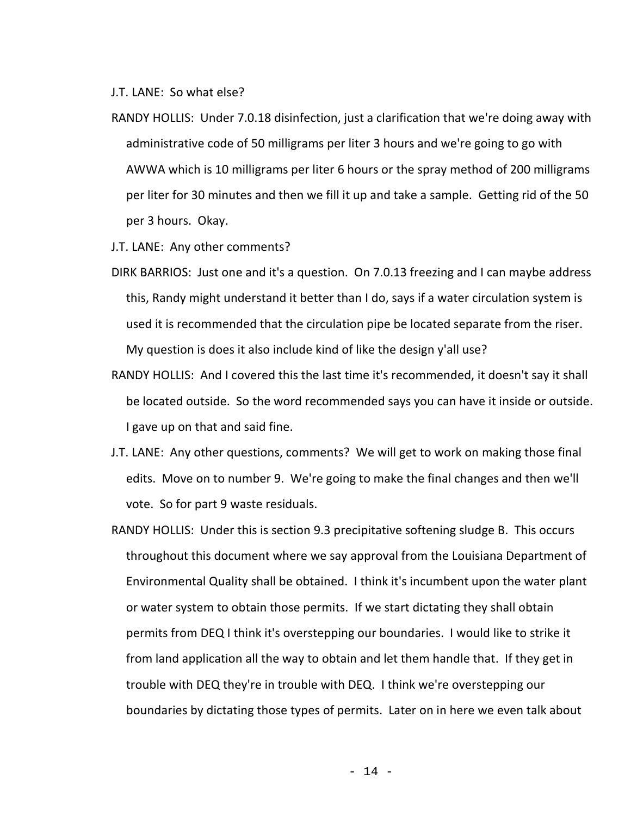J.T. LANE: So what else?

- RANDY HOLLIS: Under 7.0.18 disinfection, just a clarification that we're doing away with administrative code of 50 milligrams per liter 3 hours and we're going to go with AWWA which is 10 milligrams per liter 6 hours or the spray method of 200 milligrams per liter for 30 minutes and then we fill it up and take a sample. Getting rid of the 50 per 3 hours. Okay.
- J.T. LANE: Any other comments?
- DIRK BARRIOS: Just one and it's a question. On 7.0.13 freezing and I can maybe address this, Randy might understand it better than I do, says if a water circulation system is used it is recommended that the circulation pipe be located separate from the riser. My question is does it also include kind of like the design y'all use?
- RANDY HOLLIS: And I covered this the last time it's recommended, it doesn't say it shall be located outside. So the word recommended says you can have it inside or outside. I gave up on that and said fine.
- J.T. LANE: Any other questions, comments? We will get to work on making those final edits. Move on to number 9. We're going to make the final changes and then we'll vote. So for part 9 waste residuals.
- RANDY HOLLIS: Under this is section 9.3 precipitative softening sludge B. This occurs throughout this document where we say approval from the Louisiana Department of Environmental Quality shall be obtained. I think it's incumbent upon the water plant or water system to obtain those permits. If we start dictating they shall obtain permits from DEQ I think it's overstepping our boundaries. I would like to strike it from land application all the way to obtain and let them handle that. If they get in trouble with DEQ they're in trouble with DEQ. I think we're overstepping our boundaries by dictating those types of permits. Later on in here we even talk about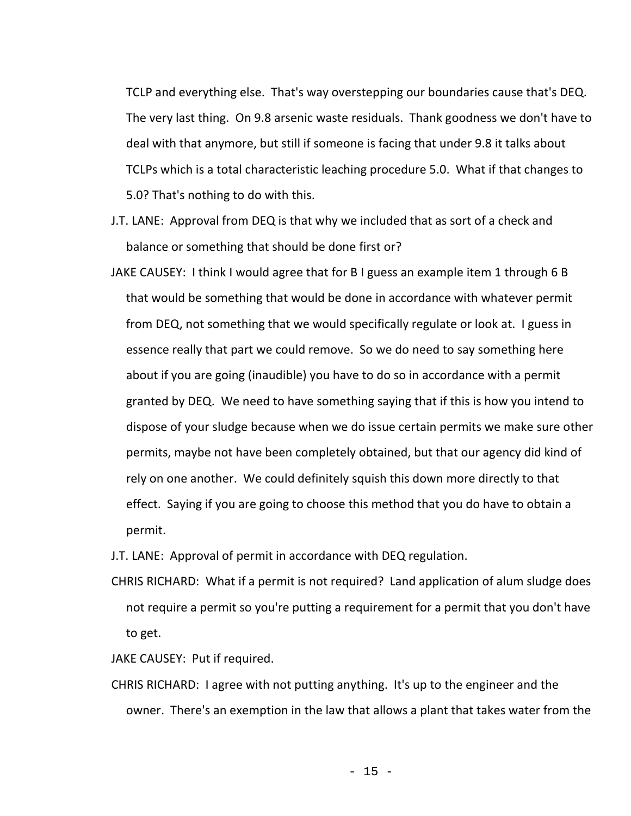TCLP and everything else. That's way overstepping our boundaries cause that's DEQ. The very last thing. On 9.8 arsenic waste residuals. Thank goodness we don't have to deal with that anymore, but still if someone is facing that under 9.8 it talks about TCLPs which is a total characteristic leaching procedure 5.0. What if that changes to 5.0? That's nothing to do with this.

- J.T. LANE: Approval from DEQ is that why we included that as sort of a check and balance or something that should be done first or?
- JAKE CAUSEY: I think I would agree that for B I guess an example item 1 through 6 B that would be something that would be done in accordance with whatever permit from DEQ, not something that we would specifically regulate or look at. I guess in essence really that part we could remove. So we do need to say something here about if you are going (inaudible) you have to do so in accordance with a permit granted by DEQ. We need to have something saying that if this is how you intend to dispose of your sludge because when we do issue certain permits we make sure other permits, maybe not have been completely obtained, but that our agency did kind of rely on one another. We could definitely squish this down more directly to that effect. Saying if you are going to choose this method that you do have to obtain a permit.

J.T. LANE: Approval of permit in accordance with DEQ regulation.

CHRIS RICHARD: What if a permit is not required? Land application of alum sludge does not require a permit so you're putting a requirement for a permit that you don't have to get.

JAKE CAUSEY: Put if required.

CHRIS RICHARD: I agree with not putting anything. It's up to the engineer and the owner. There's an exemption in the law that allows a plant that takes water from the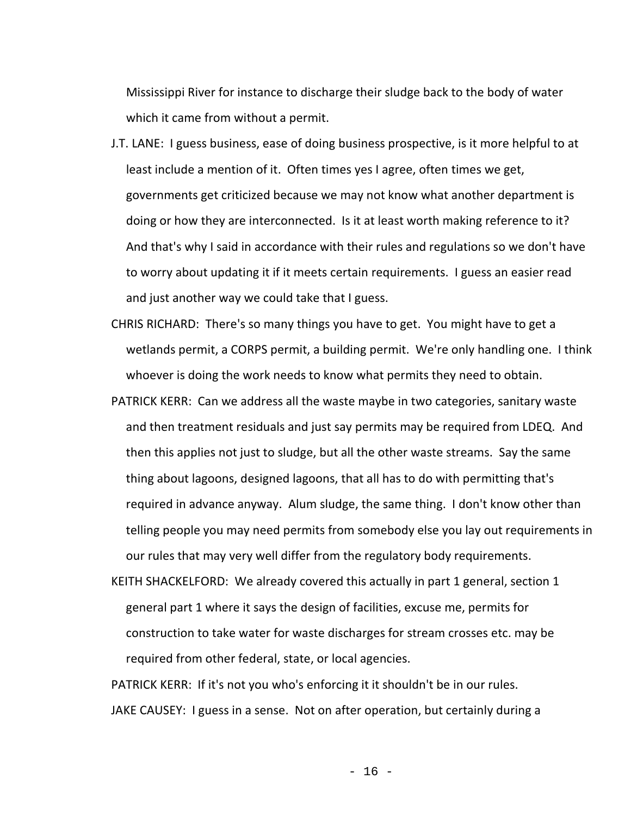Mississippi River for instance to discharge their sludge back to the body of water which it came from without a permit.

- J.T. LANE: I guess business, ease of doing business prospective, is it more helpful to at least include a mention of it. Often times yes I agree, often times we get, governments get criticized because we may not know what another department is doing or how they are interconnected. Is it at least worth making reference to it? And that's why I said in accordance with their rules and regulations so we don't have to worry about updating it if it meets certain requirements. I guess an easier read and just another way we could take that I guess.
- CHRIS RICHARD: There's so many things you have to get. You might have to get a wetlands permit, a CORPS permit, a building permit. We're only handling one. I think whoever is doing the work needs to know what permits they need to obtain.
- PATRICK KERR: Can we address all the waste maybe in two categories, sanitary waste and then treatment residuals and just say permits may be required from LDEQ. And then this applies not just to sludge, but all the other waste streams. Say the same thing about lagoons, designed lagoons, that all has to do with permitting that's required in advance anyway. Alum sludge, the same thing. I don't know other than telling people you may need permits from somebody else you lay out requirements in our rules that may very well differ from the regulatory body requirements.
- KEITH SHACKELFORD: We already covered this actually in part 1 general, section 1 general part 1 where it says the design of facilities, excuse me, permits for construction to take water for waste discharges for stream crosses etc. may be required from other federal, state, or local agencies.

PATRICK KERR: If it's not you who's enforcing it it shouldn't be in our rules. JAKE CAUSEY: I guess in a sense. Not on after operation, but certainly during a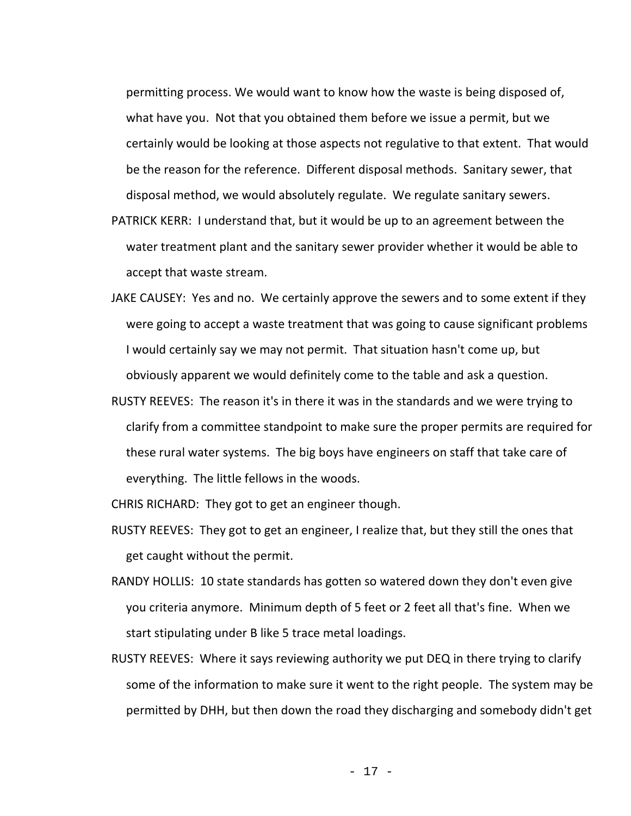permitting process. We would want to know how the waste is being disposed of, what have you. Not that you obtained them before we issue a permit, but we certainly would be looking at those aspects not regulative to that extent. That would be the reason for the reference. Different disposal methods. Sanitary sewer, that disposal method, we would absolutely regulate. We regulate sanitary sewers.

- PATRICK KERR: I understand that, but it would be up to an agreement between the water treatment plant and the sanitary sewer provider whether it would be able to accept that waste stream.
- JAKE CAUSEY: Yes and no. We certainly approve the sewers and to some extent if they were going to accept a waste treatment that was going to cause significant problems I would certainly say we may not permit. That situation hasn't come up, but obviously apparent we would definitely come to the table and ask a question.
- RUSTY REEVES: The reason it's in there it was in the standards and we were trying to clarify from a committee standpoint to make sure the proper permits are required for these rural water systems. The big boys have engineers on staff that take care of everything. The little fellows in the woods.

CHRIS RICHARD: They got to get an engineer though.

- RUSTY REEVES: They got to get an engineer, I realize that, but they still the ones that get caught without the permit.
- RANDY HOLLIS: 10 state standards has gotten so watered down they don't even give you criteria anymore. Minimum depth of 5 feet or 2 feet all that's fine. When we start stipulating under B like 5 trace metal loadings.
- RUSTY REEVES: Where it says reviewing authority we put DEQ in there trying to clarify some of the information to make sure it went to the right people. The system may be permitted by DHH, but then down the road they discharging and somebody didn't get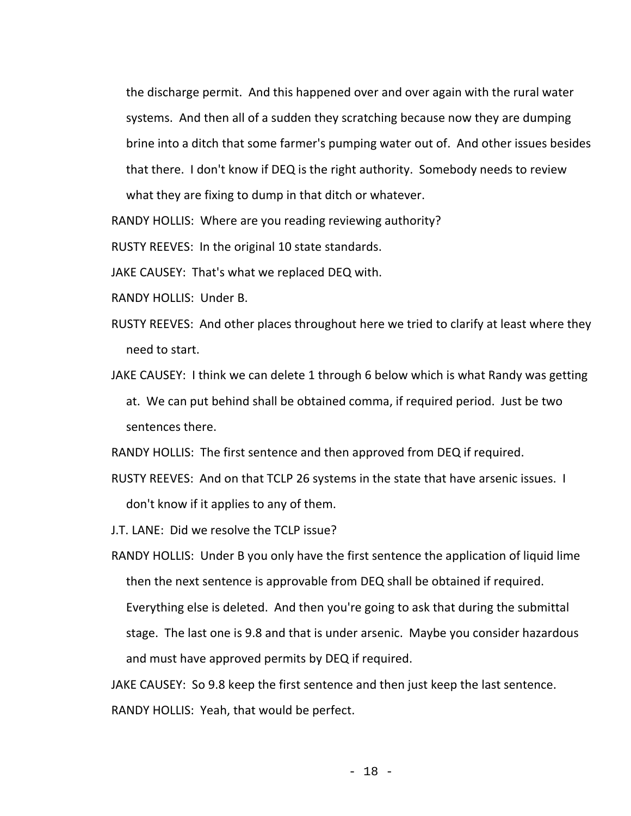the discharge permit. And this happened over and over again with the rural water systems. And then all of a sudden they scratching because now they are dumping brine into a ditch that some farmer's pumping water out of. And other issues besides that there. I don't know if DEQ is the right authority. Somebody needs to review what they are fixing to dump in that ditch or whatever.

RANDY HOLLIS: Where are you reading reviewing authority?

RUSTY REEVES: In the original 10 state standards.

JAKE CAUSEY: That's what we replaced DEQ with.

- RANDY HOLLIS: Under B.
- RUSTY REEVES: And other places throughout here we tried to clarify at least where they need to start.
- JAKE CAUSEY: I think we can delete 1 through 6 below which is what Randy was getting at. We can put behind shall be obtained comma, if required period. Just be two sentences there.

RANDY HOLLIS: The first sentence and then approved from DEQ if required.

- RUSTY REEVES: And on that TCLP 26 systems in the state that have arsenic issues. I don't know if it applies to any of them.
- J.T. LANE: Did we resolve the TCLP issue?

RANDY HOLLIS: Under B you only have the first sentence the application of liquid lime then the next sentence is approvable from DEQ shall be obtained if required. Everything else is deleted. And then you're going to ask that during the submittal stage. The last one is 9.8 and that is under arsenic. Maybe you consider hazardous and must have approved permits by DEQ if required.

JAKE CAUSEY: So 9.8 keep the first sentence and then just keep the last sentence. RANDY HOLLIS: Yeah, that would be perfect.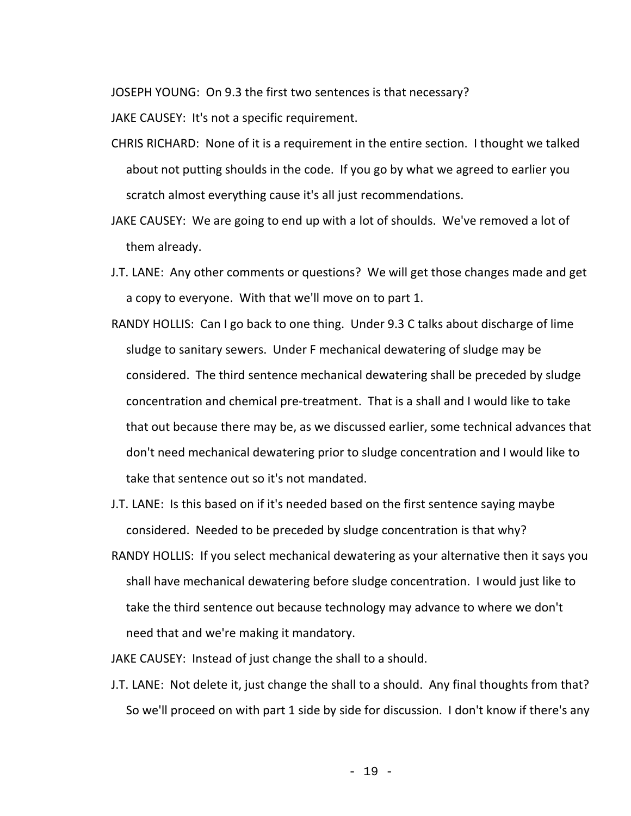JOSEPH YOUNG: On 9.3 the first two sentences is that necessary?

JAKE CAUSEY: It's not a specific requirement.

- CHRIS RICHARD: None of it is a requirement in the entire section. I thought we talked about not putting shoulds in the code. If you go by what we agreed to earlier you scratch almost everything cause it's all just recommendations.
- JAKE CAUSEY: We are going to end up with a lot of shoulds. We've removed a lot of them already.
- J.T. LANE: Any other comments or questions? We will get those changes made and get a copy to everyone. With that we'll move on to part 1.
- RANDY HOLLIS: Can I go back to one thing. Under 9.3 C talks about discharge of lime sludge to sanitary sewers. Under F mechanical dewatering of sludge may be considered. The third sentence mechanical dewatering shall be preceded by sludge concentration and chemical pre-treatment. That is a shall and I would like to take that out because there may be, as we discussed earlier, some technical advances that don't need mechanical dewatering prior to sludge concentration and I would like to take that sentence out so it's not mandated.
- J.T. LANE: Is this based on if it's needed based on the first sentence saying maybe considered. Needed to be preceded by sludge concentration is that why?
- RANDY HOLLIS: If you select mechanical dewatering as your alternative then it says you shall have mechanical dewatering before sludge concentration. I would just like to take the third sentence out because technology may advance to where we don't need that and we're making it mandatory.
- JAKE CAUSEY: Instead of just change the shall to a should.
- J.T. LANE: Not delete it, just change the shall to a should. Any final thoughts from that? So we'll proceed on with part 1 side by side for discussion. I don't know if there's any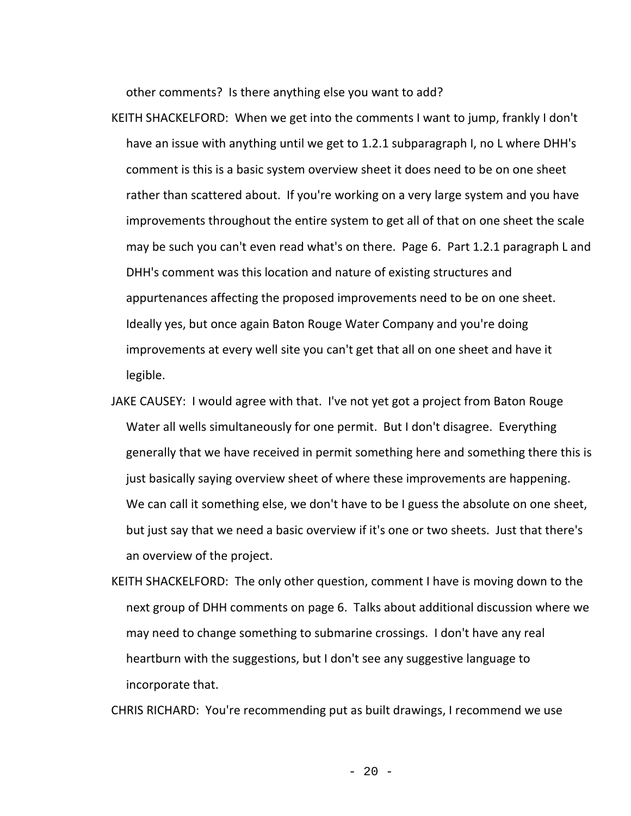other comments? Is there anything else you want to add?

- KEITH SHACKELFORD: When we get into the comments I want to jump, frankly I don't have an issue with anything until we get to 1.2.1 subparagraph I, no L where DHH's comment is this is a basic system overview sheet it does need to be on one sheet rather than scattered about. If you're working on a very large system and you have improvements throughout the entire system to get all of that on one sheet the scale may be such you can't even read what's on there. Page 6. Part 1.2.1 paragraph L and DHH's comment was this location and nature of existing structures and appurtenances affecting the proposed improvements need to be on one sheet. Ideally yes, but once again Baton Rouge Water Company and you're doing improvements at every well site you can't get that all on one sheet and have it legible.
- JAKE CAUSEY: I would agree with that. I've not yet got a project from Baton Rouge Water all wells simultaneously for one permit. But I don't disagree. Everything generally that we have received in permit something here and something there this is just basically saying overview sheet of where these improvements are happening. We can call it something else, we don't have to be I guess the absolute on one sheet, but just say that we need a basic overview if it's one or two sheets. Just that there's an overview of the project.
- KEITH SHACKELFORD: The only other question, comment I have is moving down to the next group of DHH comments on page 6. Talks about additional discussion where we may need to change something to submarine crossings. I don't have any real heartburn with the suggestions, but I don't see any suggestive language to incorporate that.

CHRIS RICHARD: You're recommending put as built drawings, I recommend we use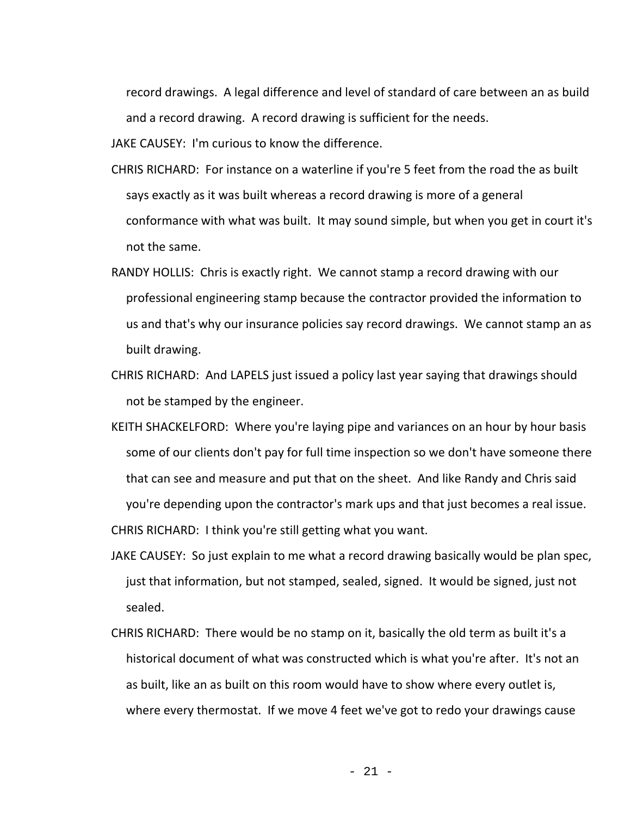record drawings. A legal difference and level of standard of care between an as build and a record drawing. A record drawing is sufficient for the needs.

JAKE CAUSEY: I'm curious to know the difference.

- CHRIS RICHARD: For instance on a waterline if you're 5 feet from the road the as built says exactly as it was built whereas a record drawing is more of a general conformance with what was built. It may sound simple, but when you get in court it's not the same.
- RANDY HOLLIS: Chris is exactly right. We cannot stamp a record drawing with our professional engineering stamp because the contractor provided the information to us and that's why our insurance policies say record drawings. We cannot stamp an as built drawing.
- CHRIS RICHARD: And LAPELS just issued a policy last year saying that drawings should not be stamped by the engineer.
- KEITH SHACKELFORD: Where you're laying pipe and variances on an hour by hour basis some of our clients don't pay for full time inspection so we don't have someone there that can see and measure and put that on the sheet. And like Randy and Chris said you're depending upon the contractor's mark ups and that just becomes a real issue. CHRIS RICHARD: I think you're still getting what you want.
- JAKE CAUSEY: So just explain to me what a record drawing basically would be plan spec, just that information, but not stamped, sealed, signed. It would be signed, just not sealed.
- CHRIS RICHARD: There would be no stamp on it, basically the old term as built it's a historical document of what was constructed which is what you're after. It's not an as built, like an as built on this room would have to show where every outlet is, where every thermostat. If we move 4 feet we've got to redo your drawings cause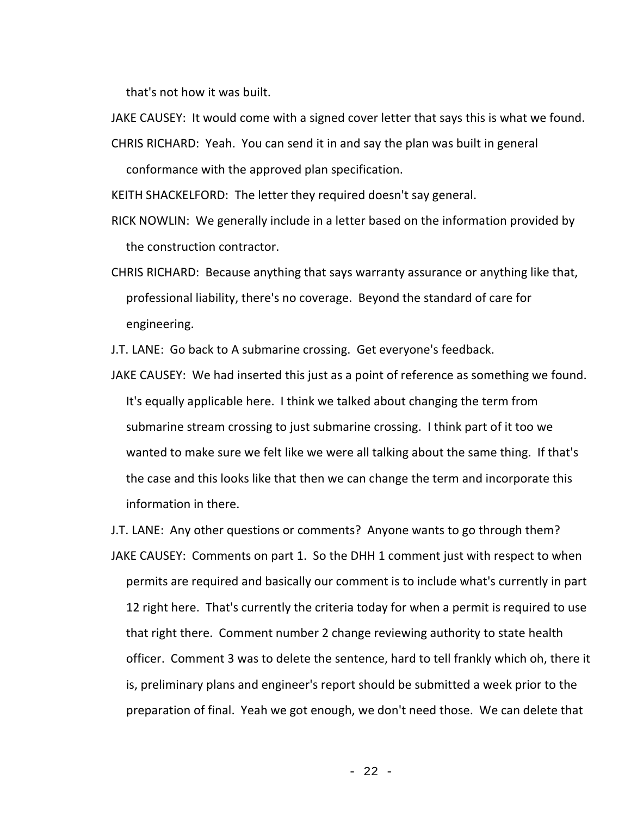that's not how it was built.

JAKE CAUSEY: It would come with a signed cover letter that says this is what we found.

CHRIS RICHARD: Yeah. You can send it in and say the plan was built in general

conformance with the approved plan specification.

KEITH SHACKELFORD: The letter they required doesn't say general.

RICK NOWLIN: We generally include in a letter based on the information provided by the construction contractor.

CHRIS RICHARD: Because anything that says warranty assurance or anything like that, professional liability, there's no coverage. Beyond the standard of care for engineering.

J.T. LANE: Go back to A submarine crossing. Get everyone's feedback.

JAKE CAUSEY: We had inserted this just as a point of reference as something we found. It's equally applicable here. I think we talked about changing the term from submarine stream crossing to just submarine crossing. I think part of it too we wanted to make sure we felt like we were all talking about the same thing. If that's the case and this looks like that then we can change the term and incorporate this information in there.

J.T. LANE: Any other questions or comments? Anyone wants to go through them? JAKE CAUSEY: Comments on part 1. So the DHH 1 comment just with respect to when permits are required and basically our comment is to include what's currently in part 12 right here. That's currently the criteria today for when a permit is required to use that right there. Comment number 2 change reviewing authority to state health officer. Comment 3 was to delete the sentence, hard to tell frankly which oh, there it is, preliminary plans and engineer's report should be submitted a week prior to the preparation of final. Yeah we got enough, we don't need those. We can delete that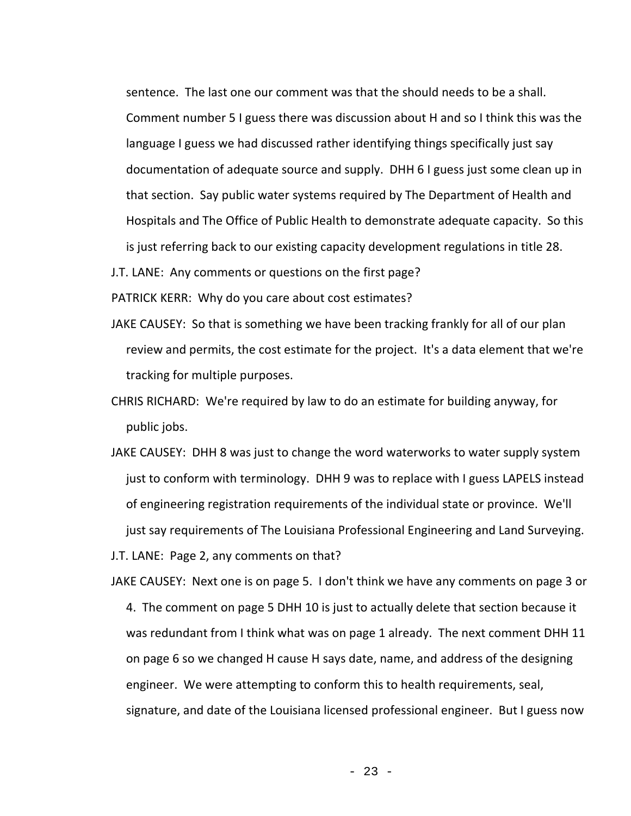sentence. The last one our comment was that the should needs to be a shall. Comment number 5 I guess there was discussion about H and so I think this was the language I guess we had discussed rather identifying things specifically just say documentation of adequate source and supply. DHH 6 I guess just some clean up in that section. Say public water systems required by The Department of Health and Hospitals and The Office of Public Health to demonstrate adequate capacity. So this is just referring back to our existing capacity development regulations in title 28.

J.T. LANE: Any comments or questions on the first page?

PATRICK KERR: Why do you care about cost estimates?

- JAKE CAUSEY: So that is something we have been tracking frankly for all of our plan review and permits, the cost estimate for the project. It's a data element that we're tracking for multiple purposes.
- CHRIS RICHARD: We're required by law to do an estimate for building anyway, for public jobs.
- JAKE CAUSEY: DHH 8 was just to change the word waterworks to water supply system just to conform with terminology. DHH 9 was to replace with I guess LAPELS instead of engineering registration requirements of the individual state or province. We'll just say requirements of The Louisiana Professional Engineering and Land Surveying.

J.T. LANE: Page 2, any comments on that?

JAKE CAUSEY: Next one is on page 5. I don't think we have any comments on page 3 or 4. The comment on page 5 DHH 10 is just to actually delete that section because it was redundant from I think what was on page 1 already. The next comment DHH 11 on page 6 so we changed H cause H says date, name, and address of the designing engineer. We were attempting to conform this to health requirements, seal, signature, and date of the Louisiana licensed professional engineer. But I guess now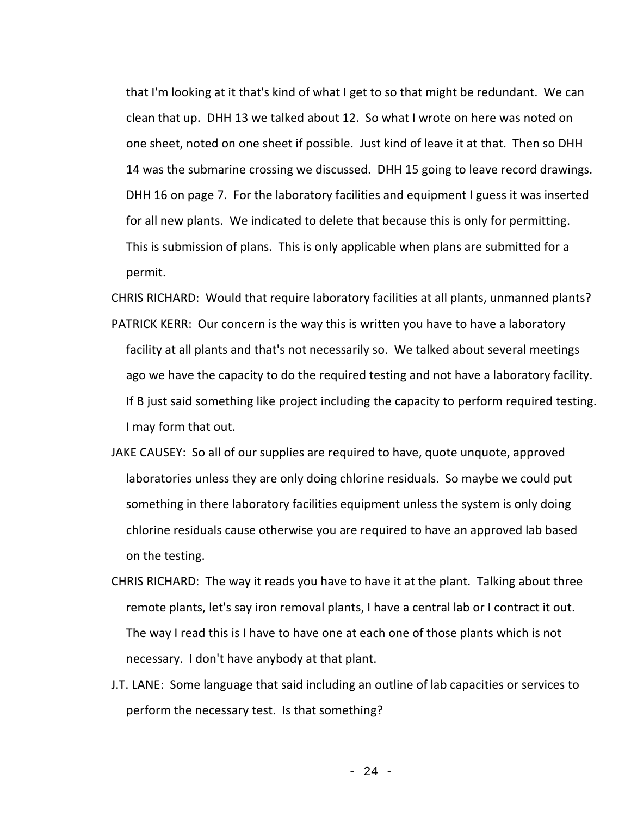that I'm looking at it that's kind of what I get to so that might be redundant. We can clean that up. DHH 13 we talked about 12. So what I wrote on here was noted on one sheet, noted on one sheet if possible. Just kind of leave it at that. Then so DHH 14 was the submarine crossing we discussed. DHH 15 going to leave record drawings. DHH 16 on page 7. For the laboratory facilities and equipment I guess it was inserted for all new plants. We indicated to delete that because this is only for permitting. This is submission of plans. This is only applicable when plans are submitted for a permit.

CHRIS RICHARD: Would that require laboratory facilities at all plants, unmanned plants? PATRICK KERR: Our concern is the way this is written you have to have a laboratory facility at all plants and that's not necessarily so. We talked about several meetings ago we have the capacity to do the required testing and not have a laboratory facility. If B just said something like project including the capacity to perform required testing.

I may form that out.

- JAKE CAUSEY: So all of our supplies are required to have, quote unquote, approved laboratories unless they are only doing chlorine residuals. So maybe we could put something in there laboratory facilities equipment unless the system is only doing chlorine residuals cause otherwise you are required to have an approved lab based on the testing.
- CHRIS RICHARD: The way it reads you have to have it at the plant. Talking about three remote plants, let's say iron removal plants, I have a central lab or I contract it out. The way I read this is I have to have one at each one of those plants which is not necessary. I don't have anybody at that plant.
- J.T. LANE: Some language that said including an outline of lab capacities or services to perform the necessary test. Is that something?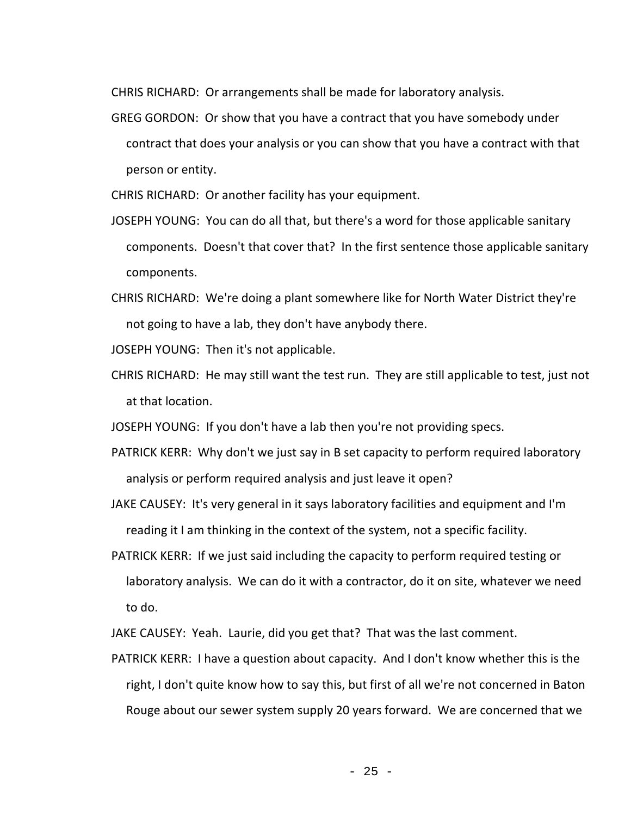CHRIS RICHARD: Or arrangements shall be made for laboratory analysis.

GREG GORDON: Or show that you have a contract that you have somebody under contract that does your analysis or you can show that you have a contract with that person or entity.

CHRIS RICHARD: Or another facility has your equipment.

- JOSEPH YOUNG: You can do all that, but there's a word for those applicable sanitary components. Doesn't that cover that? In the first sentence those applicable sanitary components.
- CHRIS RICHARD: We're doing a plant somewhere like for North Water District they're not going to have a lab, they don't have anybody there.

JOSEPH YOUNG: Then it's not applicable.

CHRIS RICHARD: He may still want the test run. They are still applicable to test, just not at that location.

JOSEPH YOUNG: If you don't have a lab then you're not providing specs.

PATRICK KERR: Why don't we just say in B set capacity to perform required laboratory analysis or perform required analysis and just leave it open?

JAKE CAUSEY: It's very general in it says laboratory facilities and equipment and I'm reading it I am thinking in the context of the system, not a specific facility.

PATRICK KERR: If we just said including the capacity to perform required testing or laboratory analysis. We can do it with a contractor, do it on site, whatever we need to do.

JAKE CAUSEY: Yeah. Laurie, did you get that? That was the last comment.

PATRICK KERR: I have a question about capacity. And I don't know whether this is the right, I don't quite know how to say this, but first of all we're not concerned in Baton Rouge about our sewer system supply 20 years forward. We are concerned that we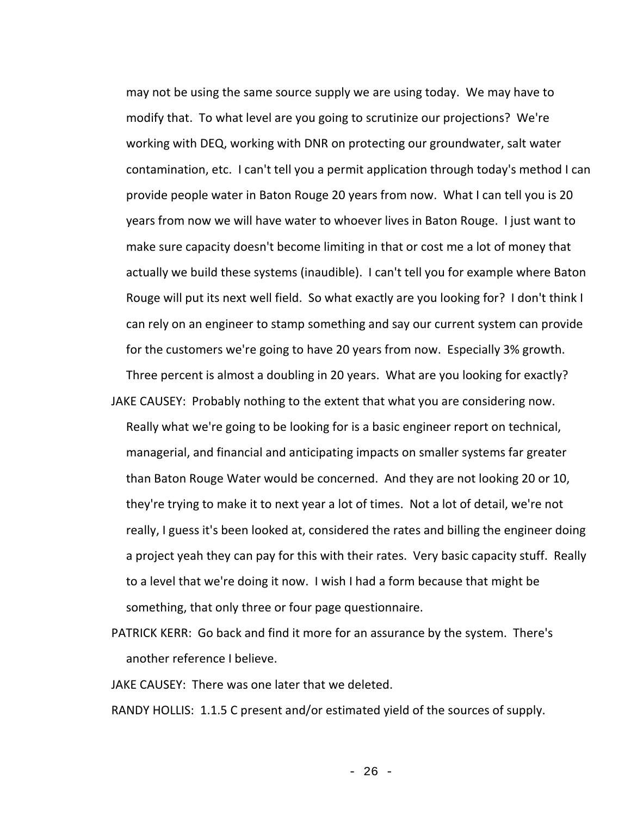may not be using the same source supply we are using today. We may have to modify that. To what level are you going to scrutinize our projections? We're working with DEQ, working with DNR on protecting our groundwater, salt water contamination, etc. I can't tell you a permit application through today's method I can provide people water in Baton Rouge 20 years from now. What I can tell you is 20 years from now we will have water to whoever lives in Baton Rouge. I just want to make sure capacity doesn't become limiting in that or cost me a lot of money that actually we build these systems (inaudible). I can't tell you for example where Baton Rouge will put its next well field. So what exactly are you looking for? I don't think I can rely on an engineer to stamp something and say our current system can provide for the customers we're going to have 20 years from now. Especially 3% growth. Three percent is almost a doubling in 20 years. What are you looking for exactly?

- JAKE CAUSEY: Probably nothing to the extent that what you are considering now. Really what we're going to be looking for is a basic engineer report on technical, managerial, and financial and anticipating impacts on smaller systems far greater than Baton Rouge Water would be concerned. And they are not looking 20 or 10, they're trying to make it to next year a lot of times. Not a lot of detail, we're not really, I guess it's been looked at, considered the rates and billing the engineer doing a project yeah they can pay for this with their rates. Very basic capacity stuff. Really to a level that we're doing it now. I wish I had a form because that might be something, that only three or four page questionnaire.
- PATRICK KERR: Go back and find it more for an assurance by the system. There's another reference I believe.

JAKE CAUSEY: There was one later that we deleted.

RANDY HOLLIS: 1.1.5 C present and/or estimated yield of the sources of supply.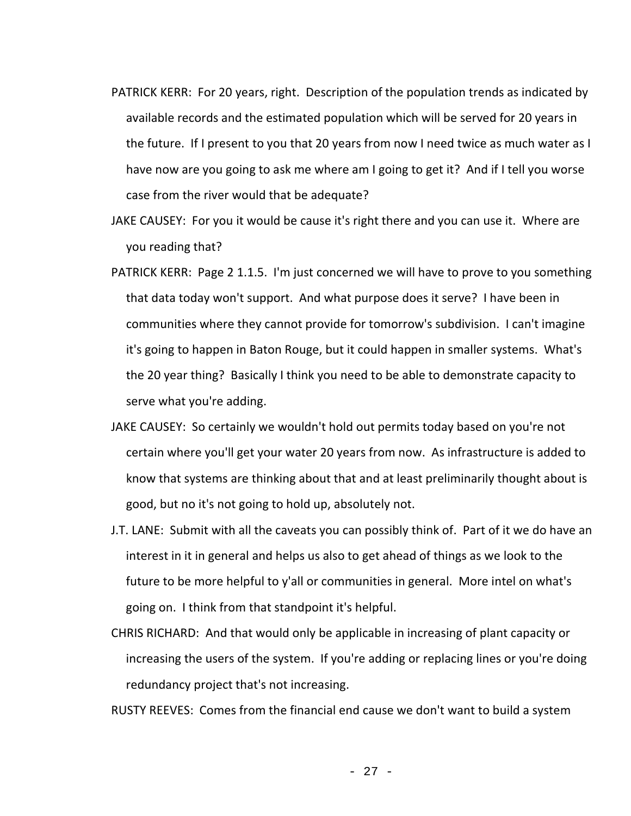- PATRICK KERR: For 20 years, right. Description of the population trends as indicated by available records and the estimated population which will be served for 20 years in the future. If I present to you that 20 years from now I need twice as much water as I have now are you going to ask me where am I going to get it? And if I tell you worse case from the river would that be adequate?
- JAKE CAUSEY: For you it would be cause it's right there and you can use it. Where are you reading that?
- PATRICK KERR: Page 2 1.1.5. I'm just concerned we will have to prove to you something that data today won't support. And what purpose does it serve? I have been in communities where they cannot provide for tomorrow's subdivision. I can't imagine it's going to happen in Baton Rouge, but it could happen in smaller systems. What's the 20 year thing? Basically I think you need to be able to demonstrate capacity to serve what you're adding.
- JAKE CAUSEY: So certainly we wouldn't hold out permits today based on you're not certain where you'll get your water 20 years from now. As infrastructure is added to know that systems are thinking about that and at least preliminarily thought about is good, but no it's not going to hold up, absolutely not.
- J.T. LANE: Submit with all the caveats you can possibly think of. Part of it we do have an interest in it in general and helps us also to get ahead of things as we look to the future to be more helpful to y'all or communities in general. More intel on what's going on. I think from that standpoint it's helpful.
- CHRIS RICHARD: And that would only be applicable in increasing of plant capacity or increasing the users of the system. If you're adding or replacing lines or you're doing redundancy project that's not increasing.

RUSTY REEVES: Comes from the financial end cause we don't want to build a system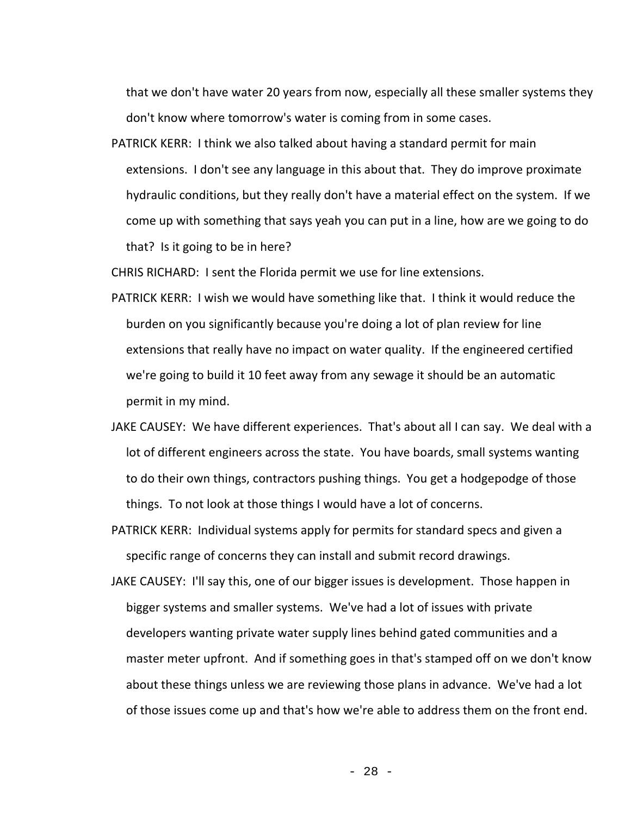that we don't have water 20 years from now, especially all these smaller systems they don't know where tomorrow's water is coming from in some cases.

PATRICK KERR: I think we also talked about having a standard permit for main extensions. I don't see any language in this about that. They do improve proximate hydraulic conditions, but they really don't have a material effect on the system. If we come up with something that says yeah you can put in a line, how are we going to do that? Is it going to be in here?

CHRIS RICHARD: I sent the Florida permit we use for line extensions.

- PATRICK KERR: I wish we would have something like that. I think it would reduce the burden on you significantly because you're doing a lot of plan review for line extensions that really have no impact on water quality. If the engineered certified we're going to build it 10 feet away from any sewage it should be an automatic permit in my mind.
- JAKE CAUSEY: We have different experiences. That's about all I can say. We deal with a lot of different engineers across the state. You have boards, small systems wanting to do their own things, contractors pushing things. You get a hodgepodge of those things. To not look at those things I would have a lot of concerns.
- PATRICK KERR: Individual systems apply for permits for standard specs and given a specific range of concerns they can install and submit record drawings.
- JAKE CAUSEY: I'll say this, one of our bigger issues is development. Those happen in bigger systems and smaller systems. We've had a lot of issues with private developers wanting private water supply lines behind gated communities and a master meter upfront. And if something goes in that's stamped off on we don't know about these things unless we are reviewing those plans in advance. We've had a lot of those issues come up and that's how we're able to address them on the front end.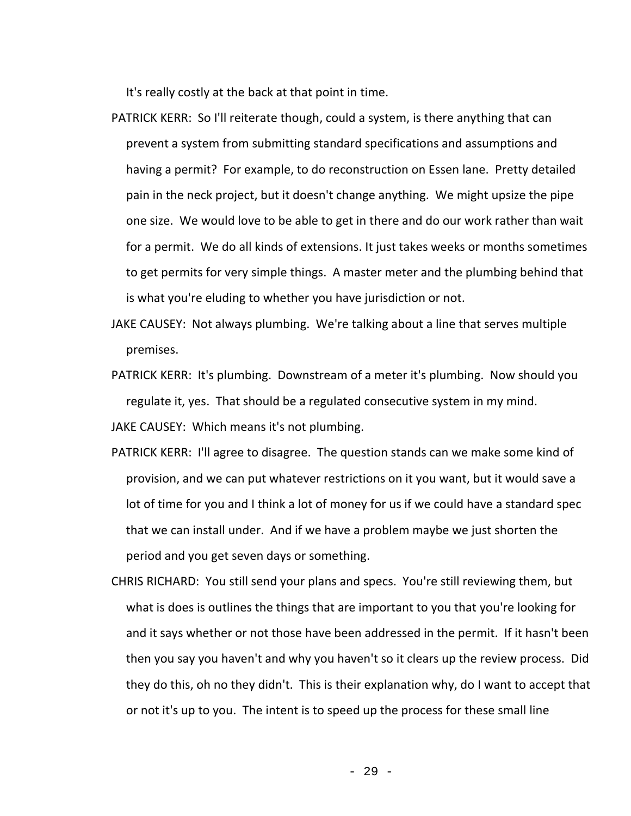It's really costly at the back at that point in time.

- PATRICK KERR: So I'll reiterate though, could a system, is there anything that can prevent a system from submitting standard specifications and assumptions and having a permit? For example, to do reconstruction on Essen lane. Pretty detailed pain in the neck project, but it doesn't change anything. We might upsize the pipe one size. We would love to be able to get in there and do our work rather than wait for a permit. We do all kinds of extensions. It just takes weeks or months sometimes to get permits for very simple things. A master meter and the plumbing behind that is what you're eluding to whether you have jurisdiction or not.
- JAKE CAUSEY: Not always plumbing. We're talking about a line that serves multiple premises.
- PATRICK KERR: It's plumbing. Downstream of a meter it's plumbing. Now should you regulate it, yes. That should be a regulated consecutive system in my mind. JAKE CAUSEY: Which means it's not plumbing.
- PATRICK KERR: I'll agree to disagree. The question stands can we make some kind of provision, and we can put whatever restrictions on it you want, but it would save a lot of time for you and I think a lot of money for us if we could have a standard spec that we can install under. And if we have a problem maybe we just shorten the period and you get seven days or something.
- CHRIS RICHARD: You still send your plans and specs. You're still reviewing them, but what is does is outlines the things that are important to you that you're looking for and it says whether or not those have been addressed in the permit. If it hasn't been then you say you haven't and why you haven't so it clears up the review process. Did they do this, oh no they didn't. This is their explanation why, do I want to accept that or not it's up to you. The intent is to speed up the process for these small line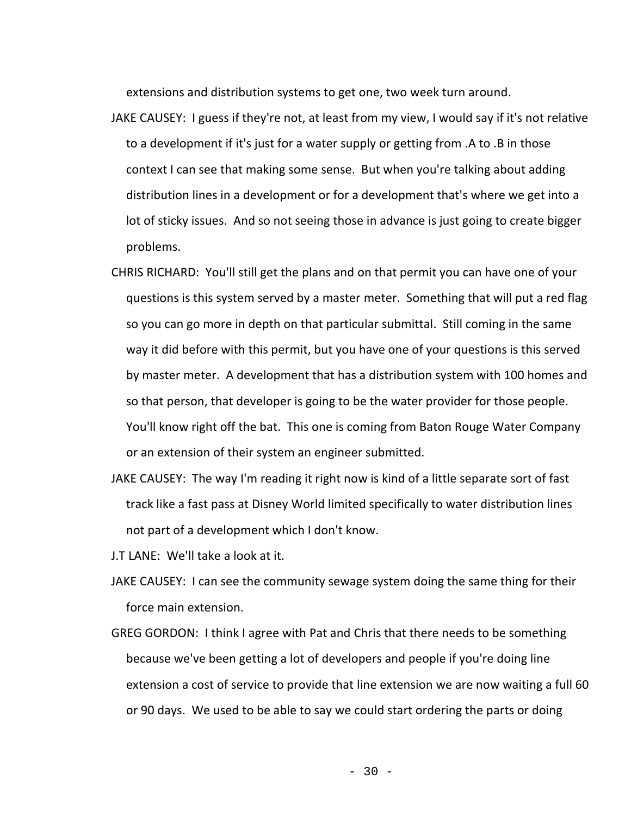extensions and distribution systems to get one, two week turn around.

- JAKE CAUSEY: I guess if they're not, at least from my view, I would say if it's not relative to a development if it's just for a water supply or getting from .A to .B in those context I can see that making some sense. But when you're talking about adding distribution lines in a development or for a development that's where we get into a lot of sticky issues. And so not seeing those in advance is just going to create bigger problems.
- CHRIS RICHARD: You'll still get the plans and on that permit you can have one of your questions is this system served by a master meter. Something that will put a red flag so you can go more in depth on that particular submittal. Still coming in the same way it did before with this permit, but you have one of your questions is this served by master meter. A development that has a distribution system with 100 homes and so that person, that developer is going to be the water provider for those people. You'll know right off the bat. This one is coming from Baton Rouge Water Company or an extension of their system an engineer submitted.
- JAKE CAUSEY: The way I'm reading it right now is kind of a little separate sort of fast track like a fast pass at Disney World limited specifically to water distribution lines not part of a development which I don't know.
- J.T LANE: We'll take a look at it.
- JAKE CAUSEY: I can see the community sewage system doing the same thing for their force main extension.
- GREG GORDON: I think I agree with Pat and Chris that there needs to be something because we've been getting a lot of developers and people if you're doing line extension a cost of service to provide that line extension we are now waiting a full 60 or 90 days. We used to be able to say we could start ordering the parts or doing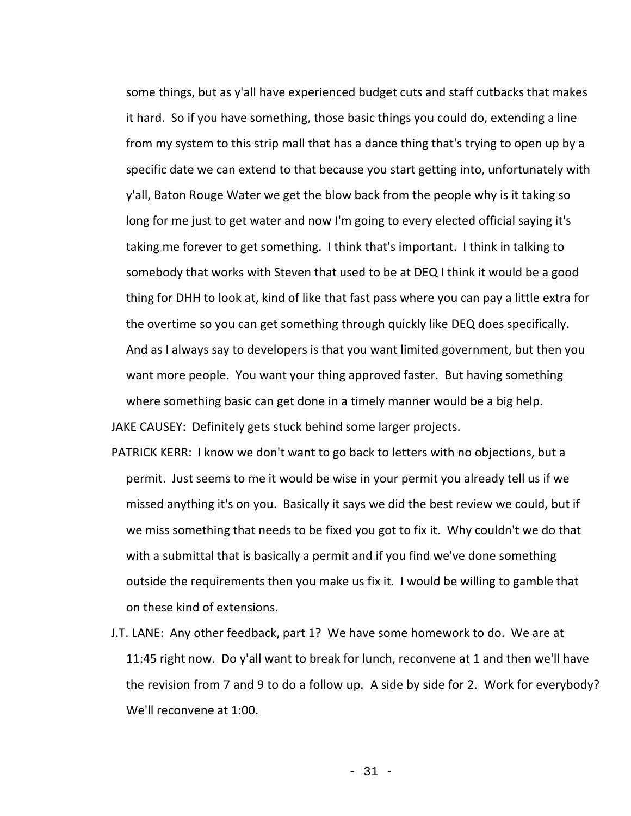some things, but as y'all have experienced budget cuts and staff cutbacks that makes it hard. So if you have something, those basic things you could do, extending a line from my system to this strip mall that has a dance thing that's trying to open up by a specific date we can extend to that because you start getting into, unfortunately with y'all, Baton Rouge Water we get the blow back from the people why is it taking so long for me just to get water and now I'm going to every elected official saying it's taking me forever to get something. I think that's important. I think in talking to somebody that works with Steven that used to be at DEQ I think it would be a good thing for DHH to look at, kind of like that fast pass where you can pay a little extra for the overtime so you can get something through quickly like DEQ does specifically. And as I always say to developers is that you want limited government, but then you want more people. You want your thing approved faster. But having something where something basic can get done in a timely manner would be a big help.

JAKE CAUSEY: Definitely gets stuck behind some larger projects.

- PATRICK KERR: I know we don't want to go back to letters with no objections, but a permit. Just seems to me it would be wise in your permit you already tell us if we missed anything it's on you. Basically it says we did the best review we could, but if we miss something that needs to be fixed you got to fix it. Why couldn't we do that with a submittal that is basically a permit and if you find we've done something outside the requirements then you make us fix it. I would be willing to gamble that on these kind of extensions.
- J.T. LANE: Any other feedback, part 1? We have some homework to do. We are at 11:45 right now. Do y'all want to break for lunch, reconvene at 1 and then we'll have the revision from 7 and 9 to do a follow up. A side by side for 2. Work for everybody? We'll reconvene at 1:00.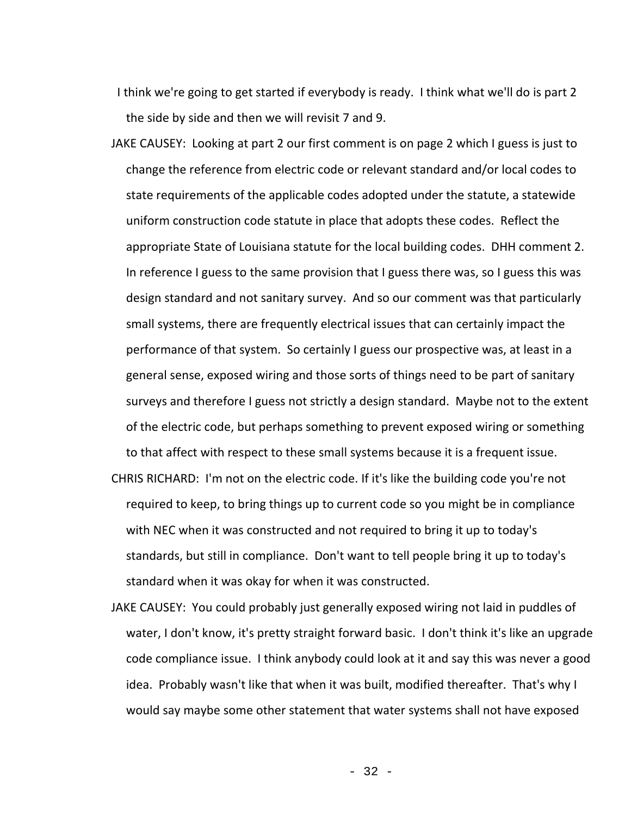I think we're going to get started if everybody is ready. I think what we'll do is part 2 the side by side and then we will revisit 7 and 9.

- JAKE CAUSEY: Looking at part 2 our first comment is on page 2 which I guess is just to change the reference from electric code or relevant standard and/or local codes to state requirements of the applicable codes adopted under the statute, a statewide uniform construction code statute in place that adopts these codes. Reflect the appropriate State of Louisiana statute for the local building codes. DHH comment 2. In reference I guess to the same provision that I guess there was, so I guess this was design standard and not sanitary survey. And so our comment was that particularly small systems, there are frequently electrical issues that can certainly impact the performance of that system. So certainly I guess our prospective was, at least in a general sense, exposed wiring and those sorts of things need to be part of sanitary surveys and therefore I guess not strictly a design standard. Maybe not to the extent of the electric code, but perhaps something to prevent exposed wiring or something to that affect with respect to these small systems because it is a frequent issue.
- CHRIS RICHARD: I'm not on the electric code. If it's like the building code you're not required to keep, to bring things up to current code so you might be in compliance with NEC when it was constructed and not required to bring it up to today's standards, but still in compliance. Don't want to tell people bring it up to today's standard when it was okay for when it was constructed.
- JAKE CAUSEY: You could probably just generally exposed wiring not laid in puddles of water, I don't know, it's pretty straight forward basic. I don't think it's like an upgrade code compliance issue. I think anybody could look at it and say this was never a good idea. Probably wasn't like that when it was built, modified thereafter. That's why I would say maybe some other statement that water systems shall not have exposed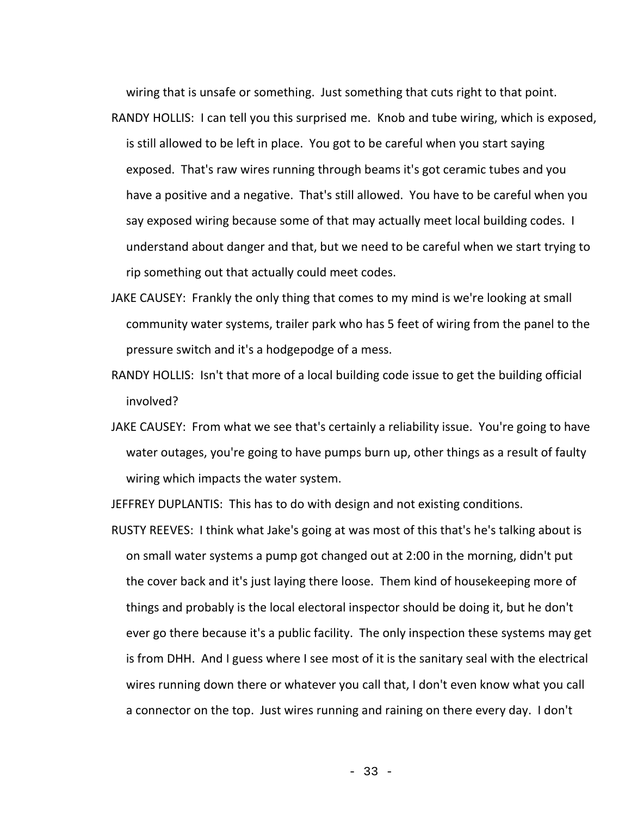wiring that is unsafe or something. Just something that cuts right to that point.

- RANDY HOLLIS: I can tell you this surprised me. Knob and tube wiring, which is exposed, is still allowed to be left in place. You got to be careful when you start saying exposed. That's raw wires running through beams it's got ceramic tubes and you have a positive and a negative. That's still allowed. You have to be careful when you say exposed wiring because some of that may actually meet local building codes. I understand about danger and that, but we need to be careful when we start trying to rip something out that actually could meet codes.
- JAKE CAUSEY: Frankly the only thing that comes to my mind is we're looking at small community water systems, trailer park who has 5 feet of wiring from the panel to the pressure switch and it's a hodgepodge of a mess.
- RANDY HOLLIS: Isn't that more of a local building code issue to get the building official involved?
- JAKE CAUSEY: From what we see that's certainly a reliability issue. You're going to have water outages, you're going to have pumps burn up, other things as a result of faulty wiring which impacts the water system.

JEFFREY DUPLANTIS: This has to do with design and not existing conditions.

RUSTY REEVES: I think what Jake's going at was most of this that's he's talking about is on small water systems a pump got changed out at 2:00 in the morning, didn't put the cover back and it's just laying there loose. Them kind of housekeeping more of things and probably is the local electoral inspector should be doing it, but he don't ever go there because it's a public facility. The only inspection these systems may get is from DHH. And I guess where I see most of it is the sanitary seal with the electrical wires running down there or whatever you call that, I don't even know what you call a connector on the top. Just wires running and raining on there every day. I don't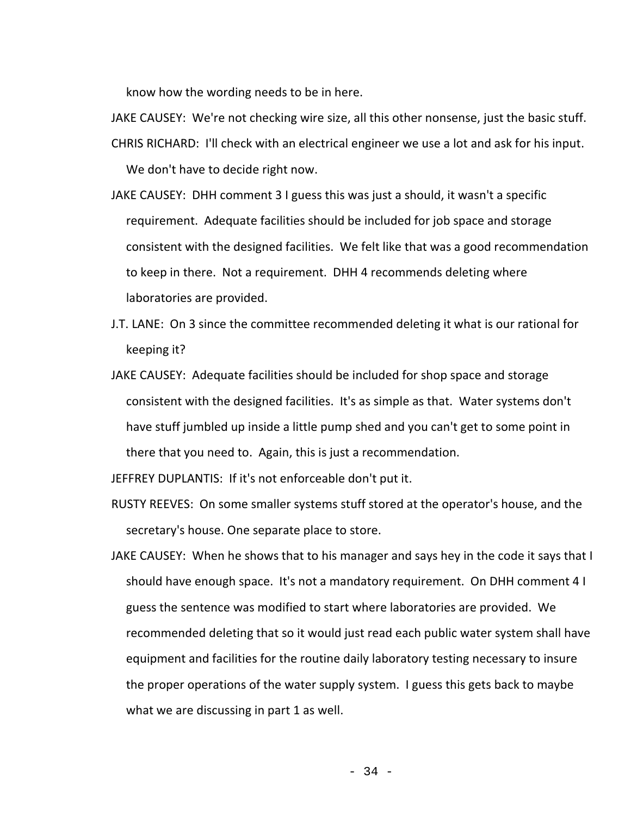know how the wording needs to be in here.

- JAKE CAUSEY: We're not checking wire size, all this other nonsense, just the basic stuff.
- CHRIS RICHARD: I'll check with an electrical engineer we use a lot and ask for his input.

We don't have to decide right now.

- JAKE CAUSEY: DHH comment 3 I guess this was just a should, it wasn't a specific requirement. Adequate facilities should be included for job space and storage consistent with the designed facilities. We felt like that was a good recommendation to keep in there. Not a requirement. DHH 4 recommends deleting where laboratories are provided.
- J.T. LANE: On 3 since the committee recommended deleting it what is our rational for keeping it?
- JAKE CAUSEY: Adequate facilities should be included for shop space and storage consistent with the designed facilities. It's as simple as that. Water systems don't have stuff jumbled up inside a little pump shed and you can't get to some point in there that you need to. Again, this is just a recommendation.

JEFFREY DUPLANTIS: If it's not enforceable don't put it.

- RUSTY REEVES: On some smaller systems stuff stored at the operator's house, and the secretary's house. One separate place to store.
- JAKE CAUSEY: When he shows that to his manager and says hey in the code it says that I should have enough space. It's not a mandatory requirement. On DHH comment 4 I guess the sentence was modified to start where laboratories are provided. We recommended deleting that so it would just read each public water system shall have equipment and facilities for the routine daily laboratory testing necessary to insure the proper operations of the water supply system. I guess this gets back to maybe what we are discussing in part 1 as well.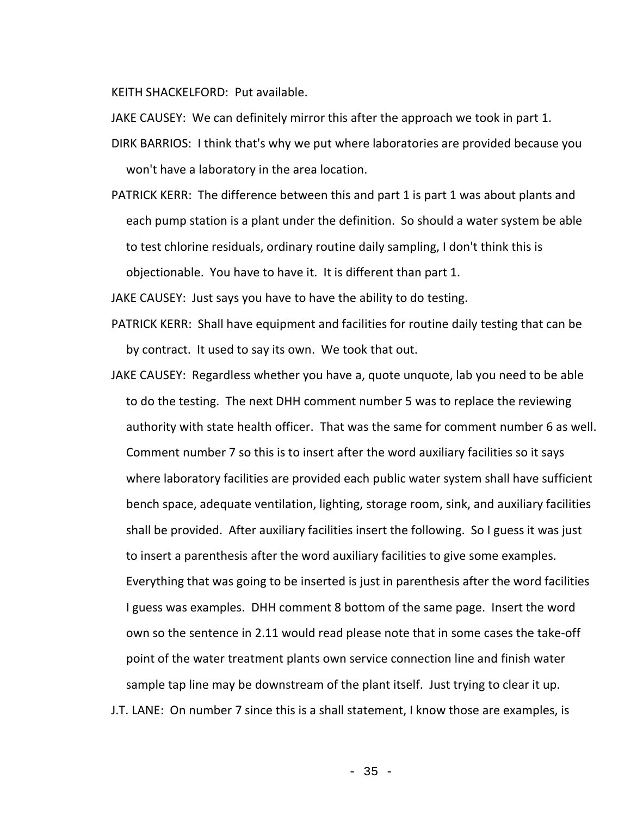KEITH SHACKELFORD: Put available.

- JAKE CAUSEY: We can definitely mirror this after the approach we took in part 1.
- DIRK BARRIOS: I think that's why we put where laboratories are provided because you won't have a laboratory in the area location.
- PATRICK KERR: The difference between this and part 1 is part 1 was about plants and each pump station is a plant under the definition. So should a water system be able to test chlorine residuals, ordinary routine daily sampling, I don't think this is objectionable. You have to have it. It is different than part 1.

JAKE CAUSEY: Just says you have to have the ability to do testing.

- PATRICK KERR: Shall have equipment and facilities for routine daily testing that can be by contract. It used to say its own. We took that out.
- JAKE CAUSEY: Regardless whether you have a, quote unquote, lab you need to be able to do the testing. The next DHH comment number 5 was to replace the reviewing authority with state health officer. That was the same for comment number 6 as well. Comment number 7 so this is to insert after the word auxiliary facilities so it says where laboratory facilities are provided each public water system shall have sufficient bench space, adequate ventilation, lighting, storage room, sink, and auxiliary facilities shall be provided. After auxiliary facilities insert the following. So I guess it was just to insert a parenthesis after the word auxiliary facilities to give some examples. Everything that was going to be inserted is just in parenthesis after the word facilities I guess was examples. DHH comment 8 bottom of the same page. Insert the word own so the sentence in 2.11 would read please note that in some cases the take-off point of the water treatment plants own service connection line and finish water sample tap line may be downstream of the plant itself. Just trying to clear it up. J.T. LANE: On number 7 since this is a shall statement, I know those are examples, is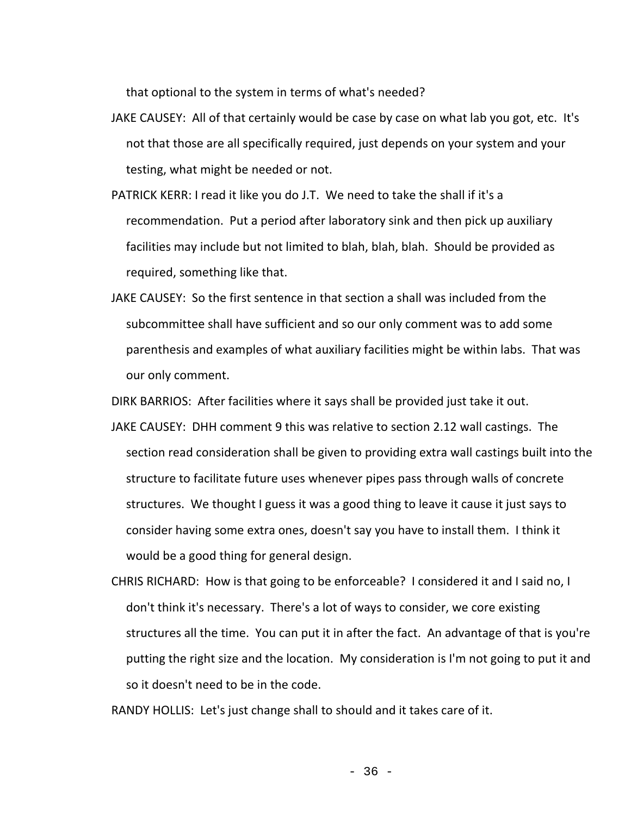that optional to the system in terms of what's needed?

- JAKE CAUSEY: All of that certainly would be case by case on what lab you got, etc. It's not that those are all specifically required, just depends on your system and your testing, what might be needed or not.
- PATRICK KERR: I read it like you do J.T. We need to take the shall if it's a recommendation. Put a period after laboratory sink and then pick up auxiliary facilities may include but not limited to blah, blah, blah. Should be provided as required, something like that.
- JAKE CAUSEY: So the first sentence in that section a shall was included from the subcommittee shall have sufficient and so our only comment was to add some parenthesis and examples of what auxiliary facilities might be within labs. That was our only comment.

DIRK BARRIOS: After facilities where it says shall be provided just take it out.

- JAKE CAUSEY: DHH comment 9 this was relative to section 2.12 wall castings. The section read consideration shall be given to providing extra wall castings built into the structure to facilitate future uses whenever pipes pass through walls of concrete structures. We thought I guess it was a good thing to leave it cause it just says to consider having some extra ones, doesn't say you have to install them. I think it would be a good thing for general design.
- CHRIS RICHARD: How is that going to be enforceable? I considered it and I said no, I don't think it's necessary. There's a lot of ways to consider, we core existing structures all the time. You can put it in after the fact. An advantage of that is you're putting the right size and the location. My consideration is I'm not going to put it and so it doesn't need to be in the code.

RANDY HOLLIS: Let's just change shall to should and it takes care of it.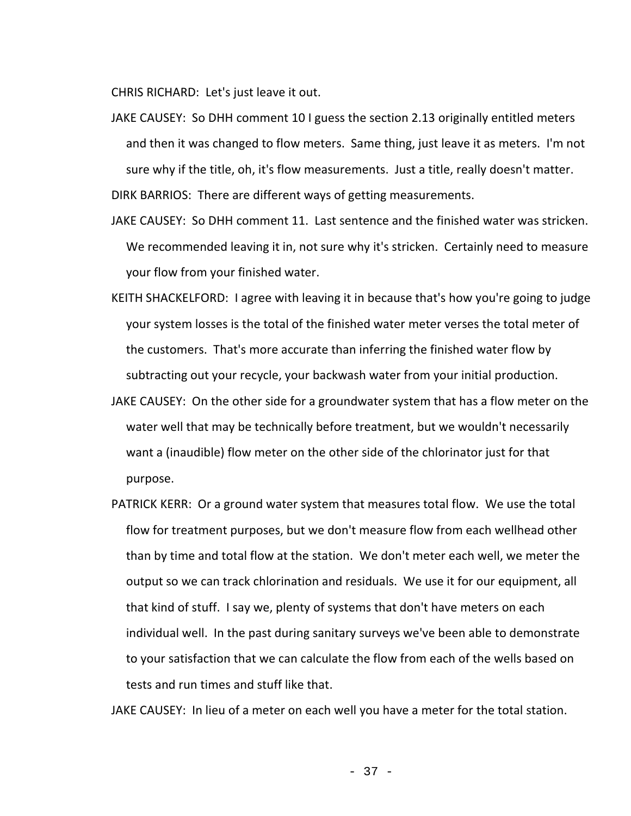CHRIS RICHARD: Let's just leave it out.

- JAKE CAUSEY: So DHH comment 10 I guess the section 2.13 originally entitled meters and then it was changed to flow meters. Same thing, just leave it as meters. I'm not sure why if the title, oh, it's flow measurements. Just a title, really doesn't matter. DIRK BARRIOS: There are different ways of getting measurements.
- JAKE CAUSEY: So DHH comment 11. Last sentence and the finished water was stricken. We recommended leaving it in, not sure why it's stricken. Certainly need to measure your flow from your finished water.
- KEITH SHACKELFORD: I agree with leaving it in because that's how you're going to judge your system losses is the total of the finished water meter verses the total meter of the customers. That's more accurate than inferring the finished water flow by subtracting out your recycle, your backwash water from your initial production.
- JAKE CAUSEY: On the other side for a groundwater system that has a flow meter on the water well that may be technically before treatment, but we wouldn't necessarily want a (inaudible) flow meter on the other side of the chlorinator just for that purpose.
- PATRICK KERR: Or a ground water system that measures total flow. We use the total flow for treatment purposes, but we don't measure flow from each wellhead other than by time and total flow at the station. We don't meter each well, we meter the output so we can track chlorination and residuals. We use it for our equipment, all that kind of stuff. I say we, plenty of systems that don't have meters on each individual well. In the past during sanitary surveys we've been able to demonstrate to your satisfaction that we can calculate the flow from each of the wells based on tests and run times and stuff like that.

JAKE CAUSEY: In lieu of a meter on each well you have a meter for the total station.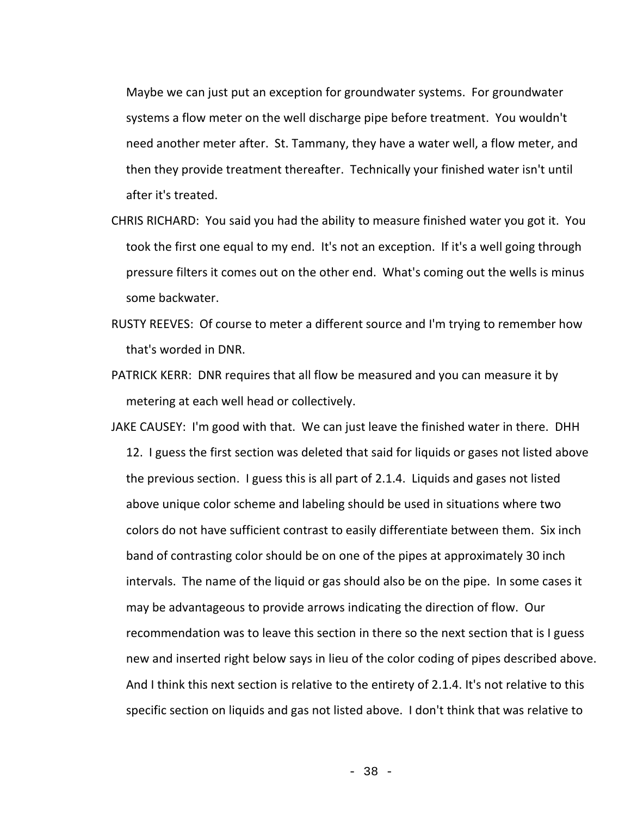Maybe we can just put an exception for groundwater systems. For groundwater systems a flow meter on the well discharge pipe before treatment. You wouldn't need another meter after. St. Tammany, they have a water well, a flow meter, and then they provide treatment thereafter. Technically your finished water isn't until after it's treated.

- CHRIS RICHARD: You said you had the ability to measure finished water you got it. You took the first one equal to my end. It's not an exception. If it's a well going through pressure filters it comes out on the other end. What's coming out the wells is minus some backwater.
- RUSTY REEVES: Of course to meter a different source and I'm trying to remember how that's worded in DNR.
- PATRICK KERR: DNR requires that all flow be measured and you can measure it by metering at each well head or collectively.
- JAKE CAUSEY: I'm good with that. We can just leave the finished water in there. DHH 12. I guess the first section was deleted that said for liquids or gases not listed above the previous section. I guess this is all part of 2.1.4. Liquids and gases not listed above unique color scheme and labeling should be used in situations where two colors do not have sufficient contrast to easily differentiate between them. Six inch band of contrasting color should be on one of the pipes at approximately 30 inch intervals. The name of the liquid or gas should also be on the pipe. In some cases it may be advantageous to provide arrows indicating the direction of flow. Our recommendation was to leave this section in there so the next section that is I guess new and inserted right below says in lieu of the color coding of pipes described above. And I think this next section is relative to the entirety of 2.1.4. It's not relative to this specific section on liquids and gas not listed above. I don't think that was relative to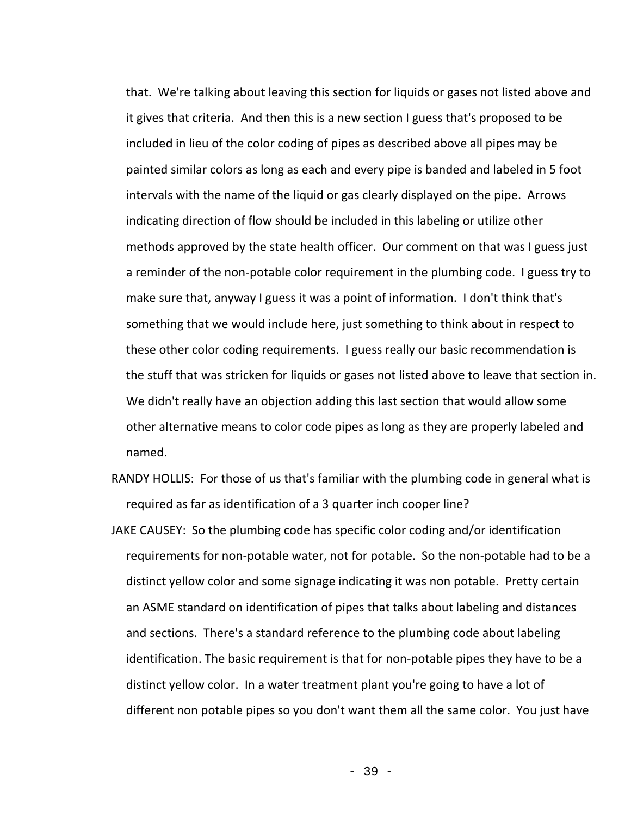that. We're talking about leaving this section for liquids or gases not listed above and it gives that criteria. And then this is a new section I guess that's proposed to be included in lieu of the color coding of pipes as described above all pipes may be painted similar colors as long as each and every pipe is banded and labeled in 5 foot intervals with the name of the liquid or gas clearly displayed on the pipe. Arrows indicating direction of flow should be included in this labeling or utilize other methods approved by the state health officer. Our comment on that was I guess just a reminder of the non-potable color requirement in the plumbing code. I guess try to make sure that, anyway I guess it was a point of information. I don't think that's something that we would include here, just something to think about in respect to these other color coding requirements. I guess really our basic recommendation is the stuff that was stricken for liquids or gases not listed above to leave that section in. We didn't really have an objection adding this last section that would allow some other alternative means to color code pipes as long as they are properly labeled and named.

- RANDY HOLLIS: For those of us that's familiar with the plumbing code in general what is required as far as identification of a 3 quarter inch cooper line?
- JAKE CAUSEY: So the plumbing code has specific color coding and/or identification requirements for non-potable water, not for potable. So the non-potable had to be a distinct yellow color and some signage indicating it was non potable. Pretty certain an ASME standard on identification of pipes that talks about labeling and distances and sections. There's a standard reference to the plumbing code about labeling identification. The basic requirement is that for non-potable pipes they have to be a distinct yellow color. In a water treatment plant you're going to have a lot of different non potable pipes so you don't want them all the same color. You just have

- 39 -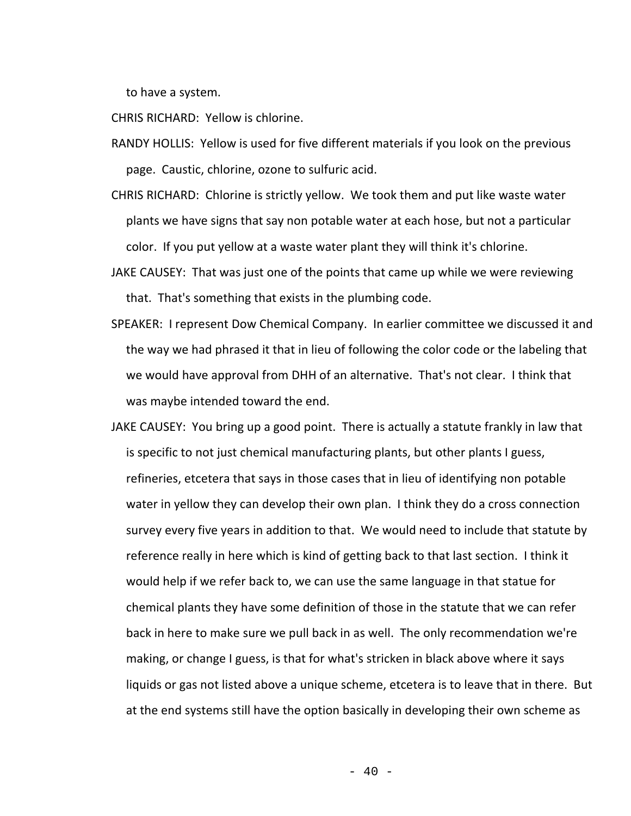to have a system.

CHRIS RICHARD: Yellow is chlorine.

RANDY HOLLIS: Yellow is used for five different materials if you look on the previous page. Caustic, chlorine, ozone to sulfuric acid.

- CHRIS RICHARD: Chlorine is strictly yellow. We took them and put like waste water plants we have signs that say non potable water at each hose, but not a particular color. If you put yellow at a waste water plant they will think it's chlorine.
- JAKE CAUSEY: That was just one of the points that came up while we were reviewing that. That's something that exists in the plumbing code.
- SPEAKER: I represent Dow Chemical Company. In earlier committee we discussed it and the way we had phrased it that in lieu of following the color code or the labeling that we would have approval from DHH of an alternative. That's not clear. I think that was maybe intended toward the end.
- JAKE CAUSEY: You bring up a good point. There is actually a statute frankly in law that is specific to not just chemical manufacturing plants, but other plants I guess, refineries, etcetera that says in those cases that in lieu of identifying non potable water in yellow they can develop their own plan. I think they do a cross connection survey every five years in addition to that. We would need to include that statute by reference really in here which is kind of getting back to that last section. I think it would help if we refer back to, we can use the same language in that statue for chemical plants they have some definition of those in the statute that we can refer back in here to make sure we pull back in as well. The only recommendation we're making, or change I guess, is that for what's stricken in black above where it says liquids or gas not listed above a unique scheme, etcetera is to leave that in there. But at the end systems still have the option basically in developing their own scheme as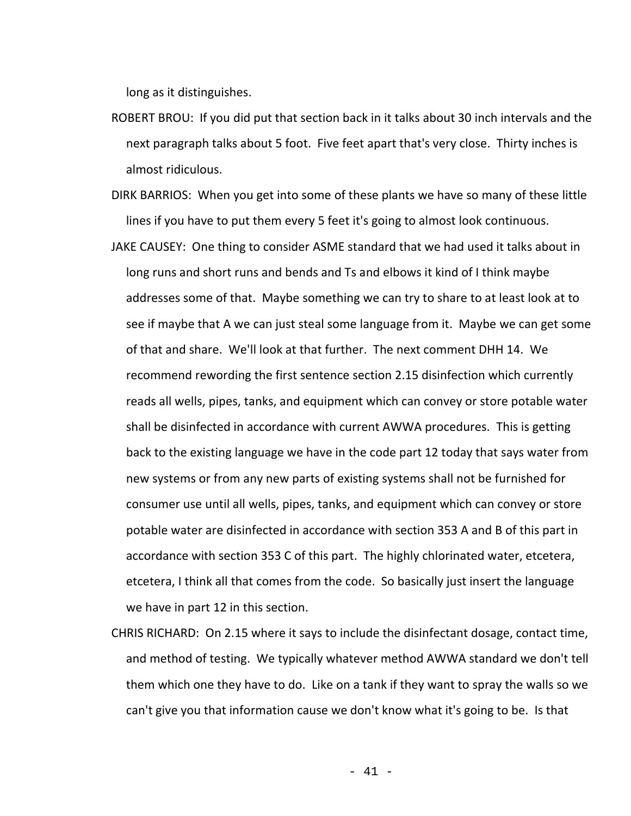long as it distinguishes.

- ROBERT BROU: If you did put that section back in it talks about 30 inch intervals and the next paragraph talks about 5 foot. Five feet apart that's very close. Thirty inches is almost ridiculous.
- DIRK BARRIOS: When you get into some of these plants we have so many of these little lines if you have to put them every 5 feet it's going to almost look continuous.
- JAKE CAUSEY: One thing to consider ASME standard that we had used it talks about in long runs and short runs and bends and Ts and elbows it kind of I think maybe addresses some of that. Maybe something we can try to share to at least look at to see if maybe that A we can just steal some language from it. Maybe we can get some of that and share. We'll look at that further. The next comment DHH 14. We recommend rewording the first sentence section 2.15 disinfection which currently reads all wells, pipes, tanks, and equipment which can convey or store potable water shall be disinfected in accordance with current AWWA procedures. This is getting back to the existing language we have in the code part 12 today that says water from new systems or from any new parts of existing systems shall not be furnished for consumer use until all wells, pipes, tanks, and equipment which can convey or store potable water are disinfected in accordance with section 353 A and B of this part in accordance with section 353 C of this part. The highly chlorinated water, etcetera, etcetera, I think all that comes from the code. So basically just insert the language we have in part 12 in this section.
- CHRIS RICHARD: On 2.15 where it says to include the disinfectant dosage, contact time, and method of testing. We typically whatever method AWWA standard we don't tell them which one they have to do. Like on a tank if they want to spray the walls so we can't give you that information cause we don't know what it's going to be. Is that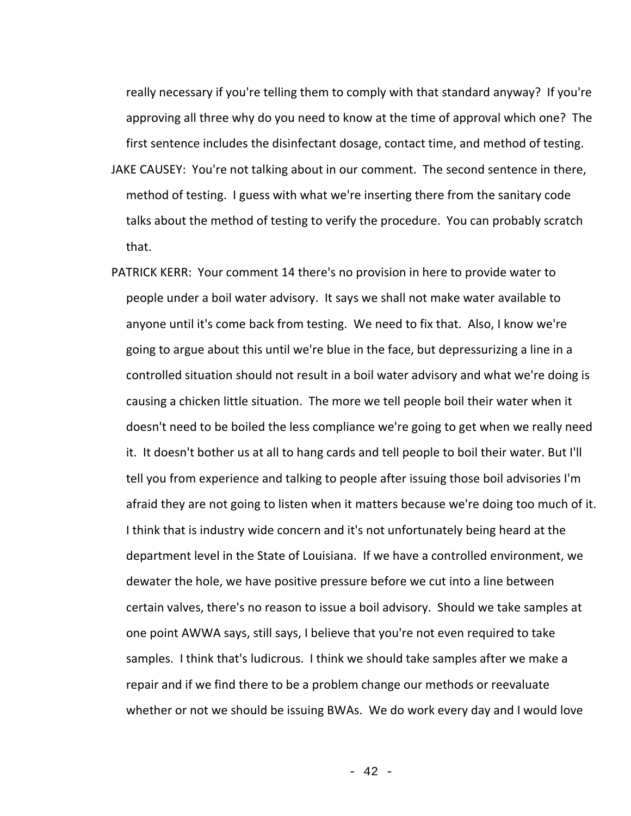really necessary if you're telling them to comply with that standard anyway? If you're approving all three why do you need to know at the time of approval which one? The first sentence includes the disinfectant dosage, contact time, and method of testing.

- JAKE CAUSEY: You're not talking about in our comment. The second sentence in there, method of testing. I guess with what we're inserting there from the sanitary code talks about the method of testing to verify the procedure. You can probably scratch that.
- PATRICK KERR: Your comment 14 there's no provision in here to provide water to people under a boil water advisory. It says we shall not make water available to anyone until it's come back from testing. We need to fix that. Also, I know we're going to argue about this until we're blue in the face, but depressurizing a line in a controlled situation should not result in a boil water advisory and what we're doing is causing a chicken little situation. The more we tell people boil their water when it doesn't need to be boiled the less compliance we're going to get when we really need it. It doesn't bother us at all to hang cards and tell people to boil their water. But I'll tell you from experience and talking to people after issuing those boil advisories I'm afraid they are not going to listen when it matters because we're doing too much of it. I think that is industry wide concern and it's not unfortunately being heard at the department level in the State of Louisiana. If we have a controlled environment, we dewater the hole, we have positive pressure before we cut into a line between certain valves, there's no reason to issue a boil advisory. Should we take samples at one point AWWA says, still says, I believe that you're not even required to take samples. I think that's ludicrous. I think we should take samples after we make a repair and if we find there to be a problem change our methods or reevaluate whether or not we should be issuing BWAs. We do work every day and I would love

- 42 -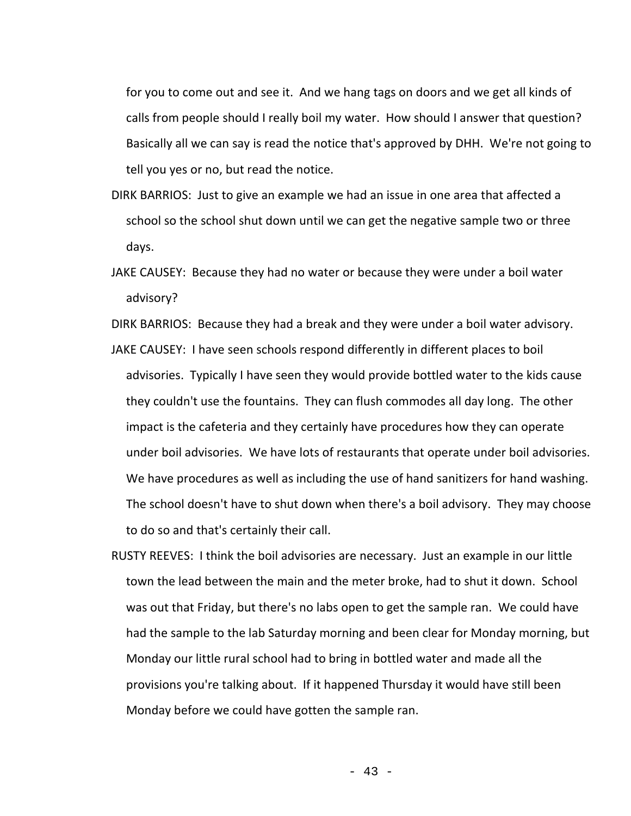for you to come out and see it. And we hang tags on doors and we get all kinds of calls from people should I really boil my water. How should I answer that question? Basically all we can say is read the notice that's approved by DHH. We're not going to tell you yes or no, but read the notice.

- DIRK BARRIOS: Just to give an example we had an issue in one area that affected a school so the school shut down until we can get the negative sample two or three days.
- JAKE CAUSEY: Because they had no water or because they were under a boil water advisory?
- DIRK BARRIOS: Because they had a break and they were under a boil water advisory.
- JAKE CAUSEY: I have seen schools respond differently in different places to boil advisories. Typically I have seen they would provide bottled water to the kids cause they couldn't use the fountains. They can flush commodes all day long. The other impact is the cafeteria and they certainly have procedures how they can operate under boil advisories. We have lots of restaurants that operate under boil advisories. We have procedures as well as including the use of hand sanitizers for hand washing. The school doesn't have to shut down when there's a boil advisory. They may choose to do so and that's certainly their call.
- RUSTY REEVES: I think the boil advisories are necessary. Just an example in our little town the lead between the main and the meter broke, had to shut it down. School was out that Friday, but there's no labs open to get the sample ran. We could have had the sample to the lab Saturday morning and been clear for Monday morning, but Monday our little rural school had to bring in bottled water and made all the provisions you're talking about. If it happened Thursday it would have still been Monday before we could have gotten the sample ran.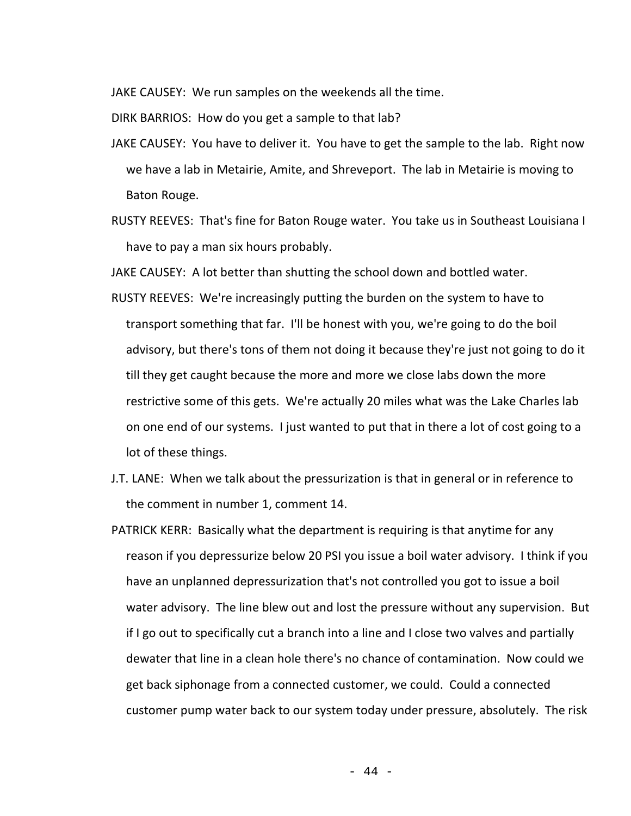JAKE CAUSEY: We run samples on the weekends all the time.

DIRK BARRIOS: How do you get a sample to that lab?

- JAKE CAUSEY: You have to deliver it. You have to get the sample to the lab. Right now we have a lab in Metairie, Amite, and Shreveport. The lab in Metairie is moving to Baton Rouge.
- RUSTY REEVES: That's fine for Baton Rouge water. You take us in Southeast Louisiana I have to pay a man six hours probably.

JAKE CAUSEY: A lot better than shutting the school down and bottled water.

- RUSTY REEVES: We're increasingly putting the burden on the system to have to transport something that far. I'll be honest with you, we're going to do the boil advisory, but there's tons of them not doing it because they're just not going to do it till they get caught because the more and more we close labs down the more restrictive some of this gets. We're actually 20 miles what was the Lake Charles lab on one end of our systems. I just wanted to put that in there a lot of cost going to a lot of these things.
- J.T. LANE: When we talk about the pressurization is that in general or in reference to the comment in number 1, comment 14.
- PATRICK KERR: Basically what the department is requiring is that anytime for any reason if you depressurize below 20 PSI you issue a boil water advisory. I think if you have an unplanned depressurization that's not controlled you got to issue a boil water advisory. The line blew out and lost the pressure without any supervision. But if I go out to specifically cut a branch into a line and I close two valves and partially dewater that line in a clean hole there's no chance of contamination. Now could we get back siphonage from a connected customer, we could. Could a connected customer pump water back to our system today under pressure, absolutely. The risk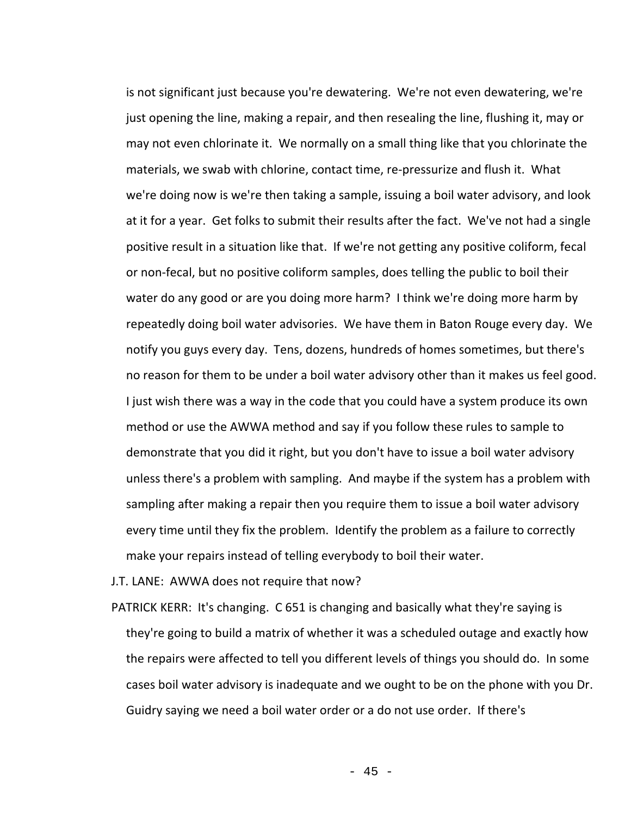is not significant just because you're dewatering. We're not even dewatering, we're just opening the line, making a repair, and then resealing the line, flushing it, may or may not even chlorinate it. We normally on a small thing like that you chlorinate the materials, we swab with chlorine, contact time, re-pressurize and flush it. What we're doing now is we're then taking a sample, issuing a boil water advisory, and look at it for a year. Get folks to submit their results after the fact. We've not had a single positive result in a situation like that. If we're not getting any positive coliform, fecal or non-fecal, but no positive coliform samples, does telling the public to boil their water do any good or are you doing more harm? I think we're doing more harm by repeatedly doing boil water advisories. We have them in Baton Rouge every day. We notify you guys every day. Tens, dozens, hundreds of homes sometimes, but there's no reason for them to be under a boil water advisory other than it makes us feel good. I just wish there was a way in the code that you could have a system produce its own method or use the AWWA method and say if you follow these rules to sample to demonstrate that you did it right, but you don't have to issue a boil water advisory unless there's a problem with sampling. And maybe if the system has a problem with sampling after making a repair then you require them to issue a boil water advisory every time until they fix the problem. Identify the problem as a failure to correctly make your repairs instead of telling everybody to boil their water.

J.T. LANE: AWWA does not require that now?

PATRICK KERR: It's changing. C 651 is changing and basically what they're saying is they're going to build a matrix of whether it was a scheduled outage and exactly how the repairs were affected to tell you different levels of things you should do. In some cases boil water advisory is inadequate and we ought to be on the phone with you Dr. Guidry saying we need a boil water order or a do not use order. If there's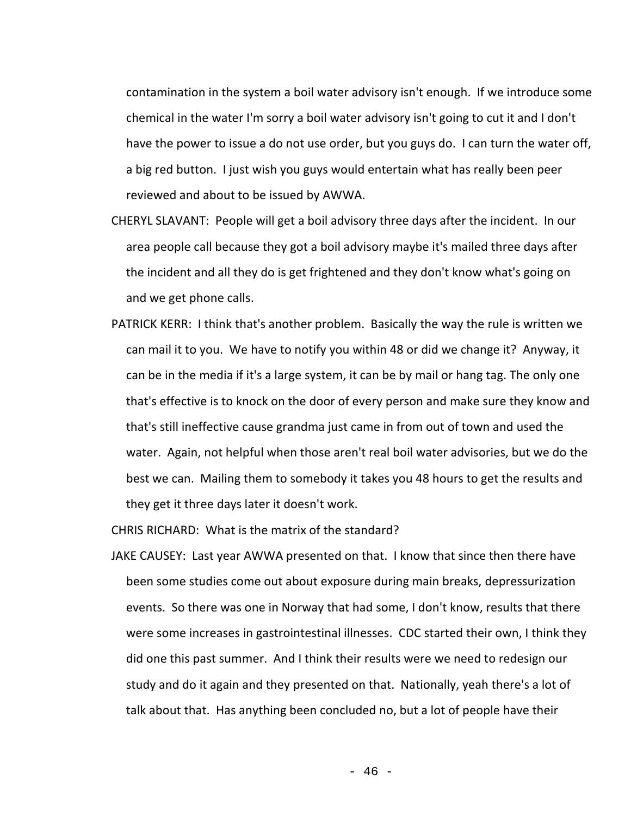contamination in the system a boil water advisory isn't enough. If we introduce some chemical in the water I'm sorry a boil water advisory isn't going to cut it and I don't have the power to issue a do not use order, but you guys do. I can turn the water off, a big red button. I just wish you guys would entertain what has really been peer reviewed and about to be issued by AWWA.

- CHERYL SLAVANT: People will get a boil advisory three days after the incident. In our area people call because they got a boil advisory maybe it's mailed three days after the incident and all they do is get frightened and they don't know what's going on and we get phone calls.
- PATRICK KERR: I think that's another problem. Basically the way the rule is written we can mail it to you. We have to notify you within 48 or did we change it? Anyway, it can be in the media if it's a large system, it can be by mail or hang tag. The only one that's effective is to knock on the door of every person and make sure they know and that's still ineffective cause grandma just came in from out of town and used the water. Again, not helpful when those aren't real boil water advisories, but we do the best we can. Mailing them to somebody it takes you 48 hours to get the results and they get it three days later it doesn't work.

CHRIS RICHARD: What is the matrix of the standard?

JAKE CAUSEY: Last year AWWA presented on that. I know that since then there have been some studies come out about exposure during main breaks, depressurization events. So there was one in Norway that had some, I don't know, results that there were some increases in gastrointestinal illnesses. CDC started their own, I think they did one this past summer. And I think their results were we need to redesign our study and do it again and they presented on that. Nationally, yeah there's a lot of talk about that. Has anything been concluded no, but a lot of people have their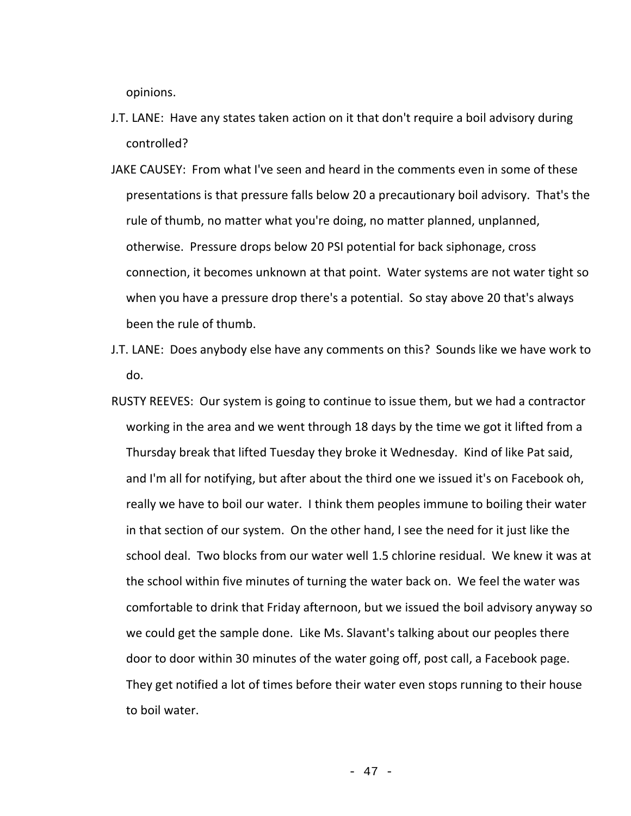opinions.

- J.T. LANE: Have any states taken action on it that don't require a boil advisory during controlled?
- JAKE CAUSEY: From what I've seen and heard in the comments even in some of these presentations is that pressure falls below 20 a precautionary boil advisory. That's the rule of thumb, no matter what you're doing, no matter planned, unplanned, otherwise. Pressure drops below 20 PSI potential for back siphonage, cross connection, it becomes unknown at that point. Water systems are not water tight so when you have a pressure drop there's a potential. So stay above 20 that's always been the rule of thumb.
- J.T. LANE: Does anybody else have any comments on this? Sounds like we have work to do.
- RUSTY REEVES: Our system is going to continue to issue them, but we had a contractor working in the area and we went through 18 days by the time we got it lifted from a Thursday break that lifted Tuesday they broke it Wednesday. Kind of like Pat said, and I'm all for notifying, but after about the third one we issued it's on Facebook oh, really we have to boil our water. I think them peoples immune to boiling their water in that section of our system. On the other hand, I see the need for it just like the school deal. Two blocks from our water well 1.5 chlorine residual. We knew it was at the school within five minutes of turning the water back on. We feel the water was comfortable to drink that Friday afternoon, but we issued the boil advisory anyway so we could get the sample done. Like Ms. Slavant's talking about our peoples there door to door within 30 minutes of the water going off, post call, a Facebook page. They get notified a lot of times before their water even stops running to their house to boil water.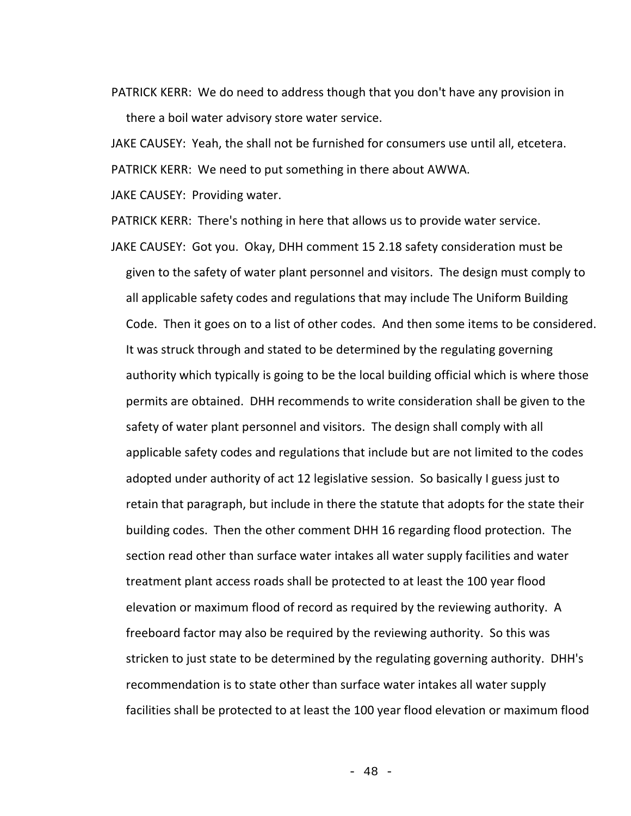PATRICK KERR: We do need to address though that you don't have any provision in there a boil water advisory store water service.

JAKE CAUSEY: Yeah, the shall not be furnished for consumers use until all, etcetera.

PATRICK KERR: We need to put something in there about AWWA.

JAKE CAUSEY: Providing water.

PATRICK KERR: There's nothing in here that allows us to provide water service.

JAKE CAUSEY: Got you. Okay, DHH comment 15 2.18 safety consideration must be given to the safety of water plant personnel and visitors. The design must comply to all applicable safety codes and regulations that may include The Uniform Building Code. Then it goes on to a list of other codes. And then some items to be considered. It was struck through and stated to be determined by the regulating governing authority which typically is going to be the local building official which is where those permits are obtained. DHH recommends to write consideration shall be given to the safety of water plant personnel and visitors. The design shall comply with all applicable safety codes and regulations that include but are not limited to the codes adopted under authority of act 12 legislative session. So basically I guess just to retain that paragraph, but include in there the statute that adopts for the state their building codes. Then the other comment DHH 16 regarding flood protection. The section read other than surface water intakes all water supply facilities and water treatment plant access roads shall be protected to at least the 100 year flood elevation or maximum flood of record as required by the reviewing authority. A freeboard factor may also be required by the reviewing authority. So this was stricken to just state to be determined by the regulating governing authority. DHH's recommendation is to state other than surface water intakes all water supply facilities shall be protected to at least the 100 year flood elevation or maximum flood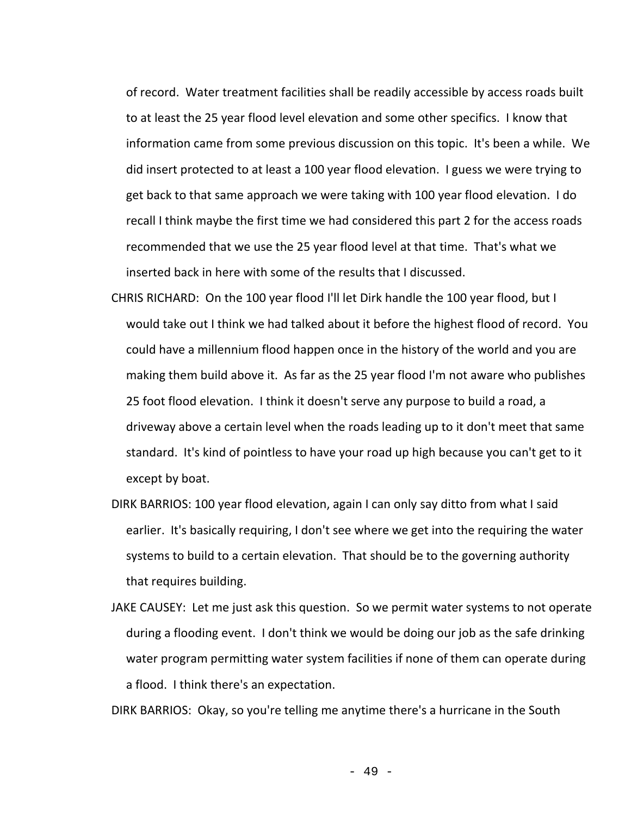of record. Water treatment facilities shall be readily accessible by access roads built to at least the 25 year flood level elevation and some other specifics. I know that information came from some previous discussion on this topic. It's been a while. We did insert protected to at least a 100 year flood elevation. I guess we were trying to get back to that same approach we were taking with 100 year flood elevation. I do recall I think maybe the first time we had considered this part 2 for the access roads recommended that we use the 25 year flood level at that time. That's what we inserted back in here with some of the results that I discussed.

- CHRIS RICHARD: On the 100 year flood I'll let Dirk handle the 100 year flood, but I would take out I think we had talked about it before the highest flood of record. You could have a millennium flood happen once in the history of the world and you are making them build above it. As far as the 25 year flood I'm not aware who publishes 25 foot flood elevation. I think it doesn't serve any purpose to build a road, a driveway above a certain level when the roads leading up to it don't meet that same standard. It's kind of pointless to have your road up high because you can't get to it except by boat.
- DIRK BARRIOS: 100 year flood elevation, again I can only say ditto from what I said earlier. It's basically requiring, I don't see where we get into the requiring the water systems to build to a certain elevation. That should be to the governing authority that requires building.
- JAKE CAUSEY: Let me just ask this question. So we permit water systems to not operate during a flooding event. I don't think we would be doing our job as the safe drinking water program permitting water system facilities if none of them can operate during a flood. I think there's an expectation.

DIRK BARRIOS: Okay, so you're telling me anytime there's a hurricane in the South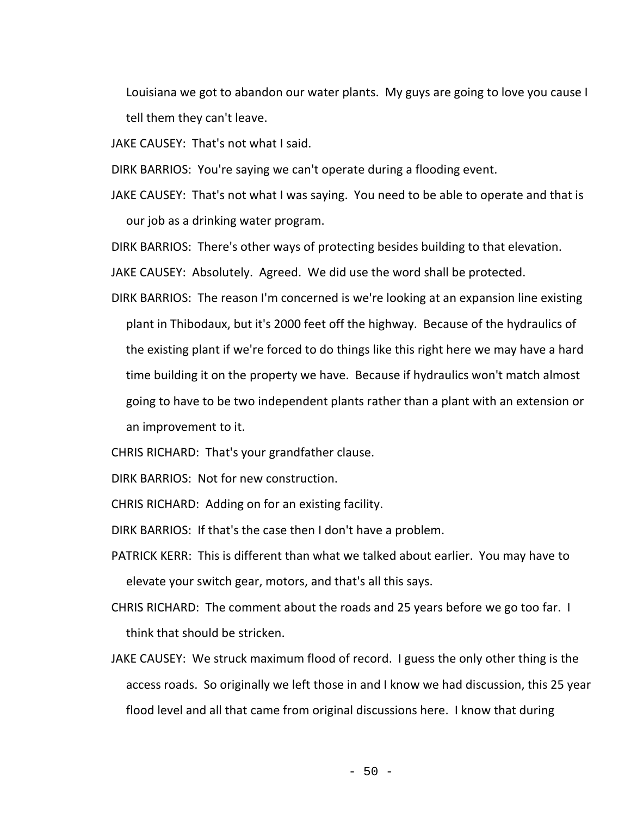Louisiana we got to abandon our water plants. My guys are going to love you cause I tell them they can't leave.

JAKE CAUSEY: That's not what I said.

DIRK BARRIOS: You're saying we can't operate during a flooding event.

JAKE CAUSEY: That's not what I was saying. You need to be able to operate and that is our job as a drinking water program.

DIRK BARRIOS: There's other ways of protecting besides building to that elevation.

JAKE CAUSEY: Absolutely. Agreed. We did use the word shall be protected.

DIRK BARRIOS: The reason I'm concerned is we're looking at an expansion line existing plant in Thibodaux, but it's 2000 feet off the highway. Because of the hydraulics of the existing plant if we're forced to do things like this right here we may have a hard time building it on the property we have. Because if hydraulics won't match almost going to have to be two independent plants rather than a plant with an extension or an improvement to it.

CHRIS RICHARD: That's your grandfather clause.

DIRK BARRIOS: Not for new construction.

CHRIS RICHARD: Adding on for an existing facility.

DIRK BARRIOS: If that's the case then I don't have a problem.

- PATRICK KERR: This is different than what we talked about earlier. You may have to elevate your switch gear, motors, and that's all this says.
- CHRIS RICHARD: The comment about the roads and 25 years before we go too far. I think that should be stricken.
- JAKE CAUSEY: We struck maximum flood of record. I guess the only other thing is the access roads. So originally we left those in and I know we had discussion, this 25 year flood level and all that came from original discussions here. I know that during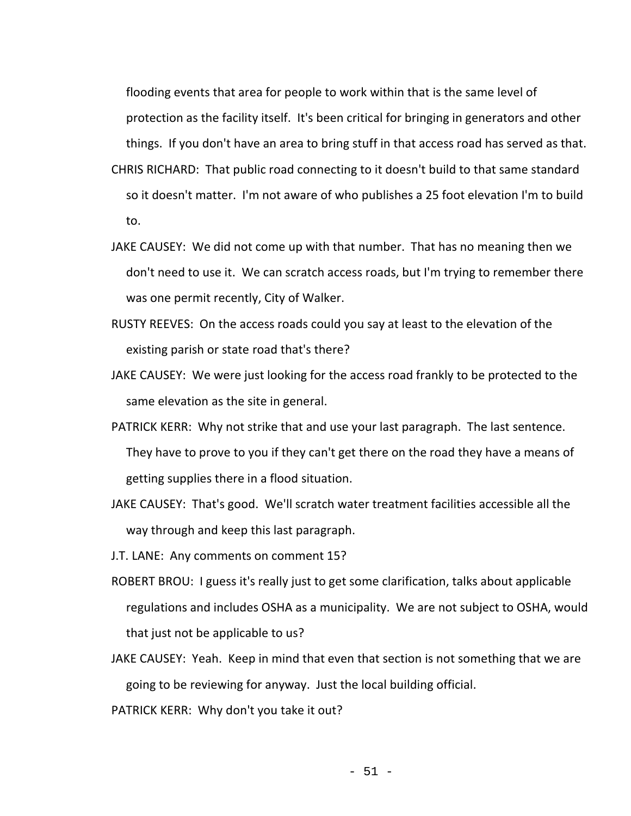flooding events that area for people to work within that is the same level of protection as the facility itself. It's been critical for bringing in generators and other things. If you don't have an area to bring stuff in that access road has served as that.

- CHRIS RICHARD: That public road connecting to it doesn't build to that same standard so it doesn't matter. I'm not aware of who publishes a 25 foot elevation I'm to build to.
- JAKE CAUSEY: We did not come up with that number. That has no meaning then we don't need to use it. We can scratch access roads, but I'm trying to remember there was one permit recently, City of Walker.
- RUSTY REEVES: On the access roads could you say at least to the elevation of the existing parish or state road that's there?
- JAKE CAUSEY: We were just looking for the access road frankly to be protected to the same elevation as the site in general.
- PATRICK KERR: Why not strike that and use your last paragraph. The last sentence. They have to prove to you if they can't get there on the road they have a means of getting supplies there in a flood situation.
- JAKE CAUSEY: That's good. We'll scratch water treatment facilities accessible all the way through and keep this last paragraph.
- J.T. LANE: Any comments on comment 15?
- ROBERT BROU: I guess it's really just to get some clarification, talks about applicable regulations and includes OSHA as a municipality. We are not subject to OSHA, would that just not be applicable to us?
- JAKE CAUSEY: Yeah. Keep in mind that even that section is not something that we are going to be reviewing for anyway. Just the local building official.
- PATRICK KERR: Why don't you take it out?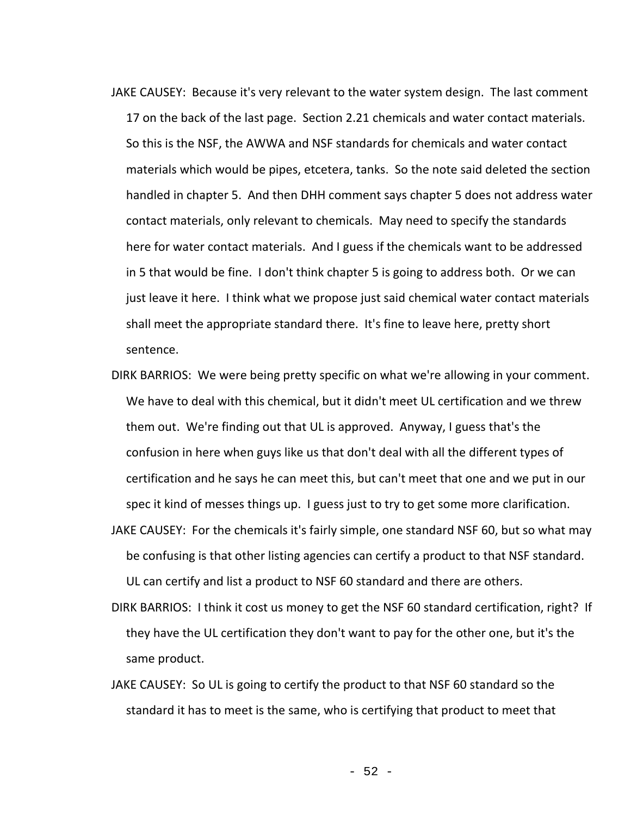- JAKE CAUSEY: Because it's very relevant to the water system design. The last comment 17 on the back of the last page. Section 2.21 chemicals and water contact materials. So this is the NSF, the AWWA and NSF standards for chemicals and water contact materials which would be pipes, etcetera, tanks. So the note said deleted the section handled in chapter 5. And then DHH comment says chapter 5 does not address water contact materials, only relevant to chemicals. May need to specify the standards here for water contact materials. And I guess if the chemicals want to be addressed in 5 that would be fine. I don't think chapter 5 is going to address both. Or we can just leave it here. I think what we propose just said chemical water contact materials shall meet the appropriate standard there. It's fine to leave here, pretty short sentence.
- DIRK BARRIOS: We were being pretty specific on what we're allowing in your comment. We have to deal with this chemical, but it didn't meet UL certification and we threw them out. We're finding out that UL is approved. Anyway, I guess that's the confusion in here when guys like us that don't deal with all the different types of certification and he says he can meet this, but can't meet that one and we put in our spec it kind of messes things up. I guess just to try to get some more clarification.
- JAKE CAUSEY: For the chemicals it's fairly simple, one standard NSF 60, but so what may be confusing is that other listing agencies can certify a product to that NSF standard. UL can certify and list a product to NSF 60 standard and there are others.
- DIRK BARRIOS: I think it cost us money to get the NSF 60 standard certification, right? If they have the UL certification they don't want to pay for the other one, but it's the same product.
- JAKE CAUSEY: So UL is going to certify the product to that NSF 60 standard so the standard it has to meet is the same, who is certifying that product to meet that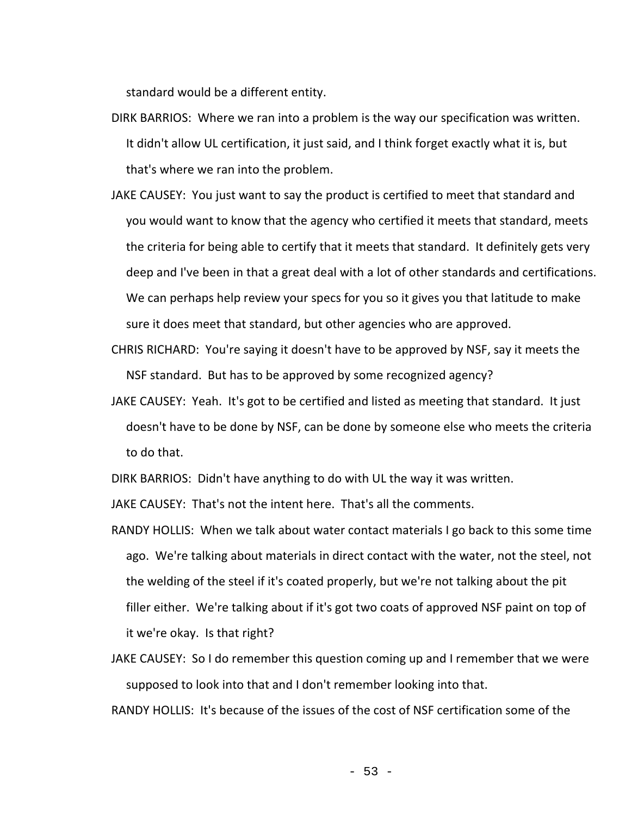standard would be a different entity.

- DIRK BARRIOS: Where we ran into a problem is the way our specification was written. It didn't allow UL certification, it just said, and I think forget exactly what it is, but that's where we ran into the problem.
- JAKE CAUSEY: You just want to say the product is certified to meet that standard and you would want to know that the agency who certified it meets that standard, meets the criteria for being able to certify that it meets that standard. It definitely gets very deep and I've been in that a great deal with a lot of other standards and certifications. We can perhaps help review your specs for you so it gives you that latitude to make sure it does meet that standard, but other agencies who are approved.
- CHRIS RICHARD: You're saying it doesn't have to be approved by NSF, say it meets the NSF standard. But has to be approved by some recognized agency?
- JAKE CAUSEY: Yeah. It's got to be certified and listed as meeting that standard. It just doesn't have to be done by NSF, can be done by someone else who meets the criteria to do that.

DIRK BARRIOS: Didn't have anything to do with UL the way it was written.

JAKE CAUSEY: That's not the intent here. That's all the comments.

- RANDY HOLLIS: When we talk about water contact materials I go back to this some time ago. We're talking about materials in direct contact with the water, not the steel, not the welding of the steel if it's coated properly, but we're not talking about the pit filler either. We're talking about if it's got two coats of approved NSF paint on top of it we're okay. Is that right?
- JAKE CAUSEY: So I do remember this question coming up and I remember that we were supposed to look into that and I don't remember looking into that.

RANDY HOLLIS: It's because of the issues of the cost of NSF certification some of the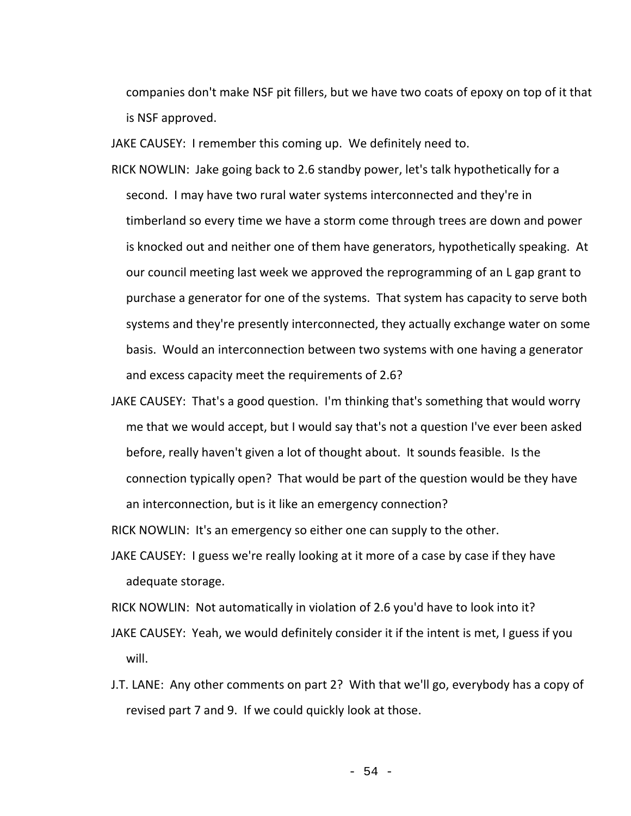companies don't make NSF pit fillers, but we have two coats of epoxy on top of it that is NSF approved.

JAKE CAUSEY: I remember this coming up. We definitely need to.

- RICK NOWLIN: Jake going back to 2.6 standby power, let's talk hypothetically for a second. I may have two rural water systems interconnected and they're in timberland so every time we have a storm come through trees are down and power is knocked out and neither one of them have generators, hypothetically speaking. At our council meeting last week we approved the reprogramming of an L gap grant to purchase a generator for one of the systems. That system has capacity to serve both systems and they're presently interconnected, they actually exchange water on some basis. Would an interconnection between two systems with one having a generator and excess capacity meet the requirements of 2.6?
- JAKE CAUSEY: That's a good question. I'm thinking that's something that would worry me that we would accept, but I would say that's not a question I've ever been asked before, really haven't given a lot of thought about. It sounds feasible. Is the connection typically open? That would be part of the question would be they have an interconnection, but is it like an emergency connection?

RICK NOWLIN: It's an emergency so either one can supply to the other.

JAKE CAUSEY: I guess we're really looking at it more of a case by case if they have adequate storage.

RICK NOWLIN: Not automatically in violation of 2.6 you'd have to look into it?

- JAKE CAUSEY: Yeah, we would definitely consider it if the intent is met, I guess if you will.
- J.T. LANE: Any other comments on part 2? With that we'll go, everybody has a copy of revised part 7 and 9. If we could quickly look at those.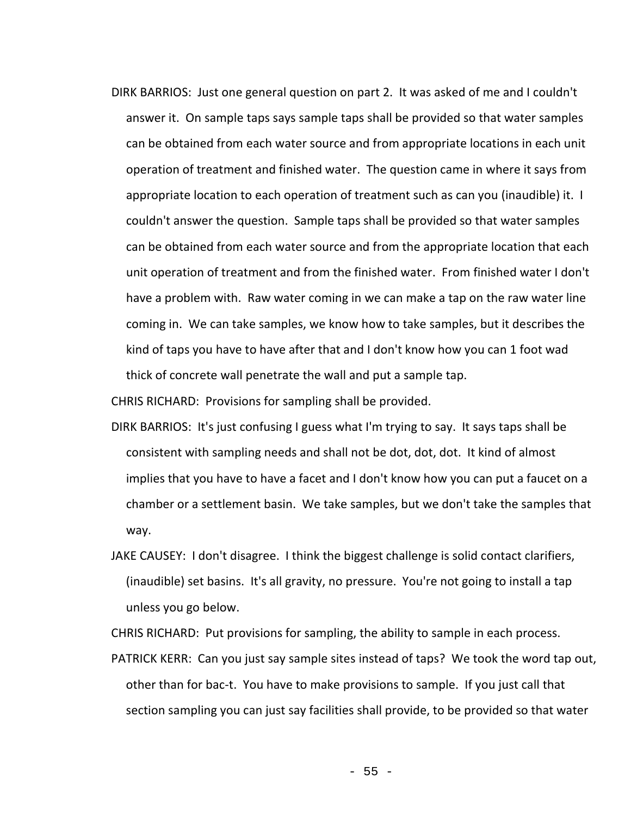DIRK BARRIOS: Just one general question on part 2. It was asked of me and I couldn't answer it. On sample taps says sample taps shall be provided so that water samples can be obtained from each water source and from appropriate locations in each unit operation of treatment and finished water. The question came in where it says from appropriate location to each operation of treatment such as can you (inaudible) it. I couldn't answer the question. Sample taps shall be provided so that water samples can be obtained from each water source and from the appropriate location that each unit operation of treatment and from the finished water. From finished water I don't have a problem with. Raw water coming in we can make a tap on the raw water line coming in. We can take samples, we know how to take samples, but it describes the kind of taps you have to have after that and I don't know how you can 1 foot wad thick of concrete wall penetrate the wall and put a sample tap.

CHRIS RICHARD: Provisions for sampling shall be provided.

- DIRK BARRIOS: It's just confusing I guess what I'm trying to say. It says taps shall be consistent with sampling needs and shall not be dot, dot, dot. It kind of almost implies that you have to have a facet and I don't know how you can put a faucet on a chamber or a settlement basin. We take samples, but we don't take the samples that way.
- JAKE CAUSEY: I don't disagree. I think the biggest challenge is solid contact clarifiers, (inaudible) set basins. It's all gravity, no pressure. You're not going to install a tap unless you go below.

CHRIS RICHARD: Put provisions for sampling, the ability to sample in each process.

PATRICK KERR: Can you just say sample sites instead of taps? We took the word tap out, other than for bac-t. You have to make provisions to sample. If you just call that section sampling you can just say facilities shall provide, to be provided so that water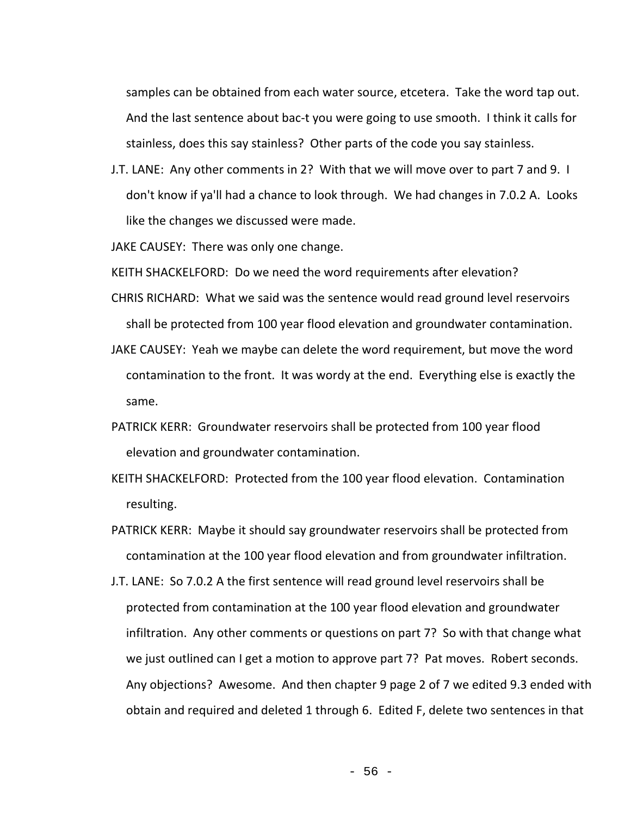samples can be obtained from each water source, etcetera. Take the word tap out. And the last sentence about bac-t you were going to use smooth. I think it calls for stainless, does this say stainless? Other parts of the code you say stainless.

J.T. LANE: Any other comments in 2? With that we will move over to part 7 and 9. I don't know if ya'll had a chance to look through. We had changes in 7.0.2 A. Looks like the changes we discussed were made.

JAKE CAUSEY: There was only one change.

KEITH SHACKELFORD: Do we need the word requirements after elevation?

- CHRIS RICHARD: What we said was the sentence would read ground level reservoirs shall be protected from 100 year flood elevation and groundwater contamination.
- JAKE CAUSEY: Yeah we maybe can delete the word requirement, but move the word contamination to the front. It was wordy at the end. Everything else is exactly the same.
- PATRICK KERR: Groundwater reservoirs shall be protected from 100 year flood elevation and groundwater contamination.
- KEITH SHACKELFORD: Protected from the 100 year flood elevation. Contamination resulting.
- PATRICK KERR: Maybe it should say groundwater reservoirs shall be protected from contamination at the 100 year flood elevation and from groundwater infiltration.
- J.T. LANE: So 7.0.2 A the first sentence will read ground level reservoirs shall be protected from contamination at the 100 year flood elevation and groundwater infiltration. Any other comments or questions on part 7? So with that change what we just outlined can I get a motion to approve part 7? Pat moves. Robert seconds. Any objections? Awesome. And then chapter 9 page 2 of 7 we edited 9.3 ended with obtain and required and deleted 1 through 6. Edited F, delete two sentences in that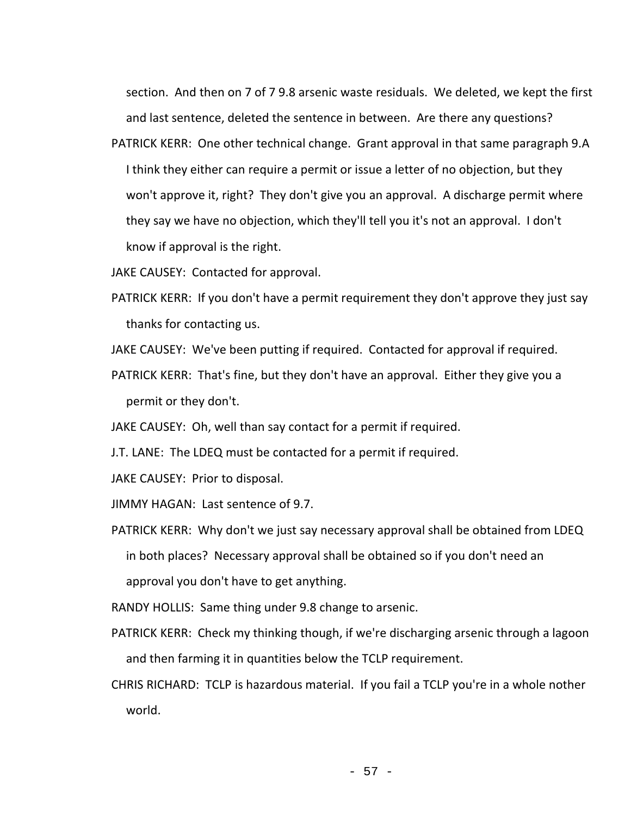section. And then on 7 of 7 9.8 arsenic waste residuals. We deleted, we kept the first and last sentence, deleted the sentence in between. Are there any questions?

PATRICK KERR: One other technical change. Grant approval in that same paragraph 9.A I think they either can require a permit or issue a letter of no objection, but they won't approve it, right? They don't give you an approval. A discharge permit where they say we have no objection, which they'll tell you it's not an approval. I don't know if approval is the right.

JAKE CAUSEY: Contacted for approval.

- PATRICK KERR: If you don't have a permit requirement they don't approve they just say thanks for contacting us.
- JAKE CAUSEY: We've been putting if required. Contacted for approval if required.
- PATRICK KERR: That's fine, but they don't have an approval. Either they give you a permit or they don't.

JAKE CAUSEY: Oh, well than say contact for a permit if required.

J.T. LANE: The LDEQ must be contacted for a permit if required.

JAKE CAUSEY: Prior to disposal.

JIMMY HAGAN: Last sentence of 9.7.

- PATRICK KERR: Why don't we just say necessary approval shall be obtained from LDEQ in both places? Necessary approval shall be obtained so if you don't need an approval you don't have to get anything.
- RANDY HOLLIS: Same thing under 9.8 change to arsenic.
- PATRICK KERR: Check my thinking though, if we're discharging arsenic through a lagoon and then farming it in quantities below the TCLP requirement.
- CHRIS RICHARD: TCLP is hazardous material. If you fail a TCLP you're in a whole nother world.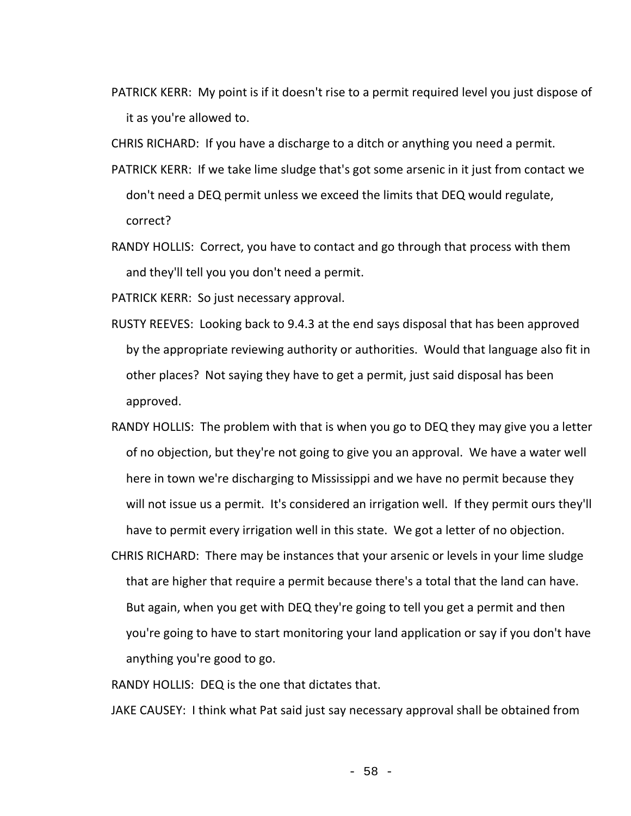PATRICK KERR: My point is if it doesn't rise to a permit required level you just dispose of it as you're allowed to.

CHRIS RICHARD: If you have a discharge to a ditch or anything you need a permit.

- PATRICK KERR: If we take lime sludge that's got some arsenic in it just from contact we don't need a DEQ permit unless we exceed the limits that DEQ would regulate, correct?
- RANDY HOLLIS: Correct, you have to contact and go through that process with them and they'll tell you you don't need a permit.

PATRICK KERR: So just necessary approval.

- RUSTY REEVES: Looking back to 9.4.3 at the end says disposal that has been approved by the appropriate reviewing authority or authorities. Would that language also fit in other places? Not saying they have to get a permit, just said disposal has been approved.
- RANDY HOLLIS: The problem with that is when you go to DEQ they may give you a letter of no objection, but they're not going to give you an approval. We have a water well here in town we're discharging to Mississippi and we have no permit because they will not issue us a permit. It's considered an irrigation well. If they permit ours they'll have to permit every irrigation well in this state. We got a letter of no objection.
- CHRIS RICHARD: There may be instances that your arsenic or levels in your lime sludge that are higher that require a permit because there's a total that the land can have. But again, when you get with DEQ they're going to tell you get a permit and then you're going to have to start monitoring your land application or say if you don't have anything you're good to go.

RANDY HOLLIS: DEQ is the one that dictates that.

JAKE CAUSEY: I think what Pat said just say necessary approval shall be obtained from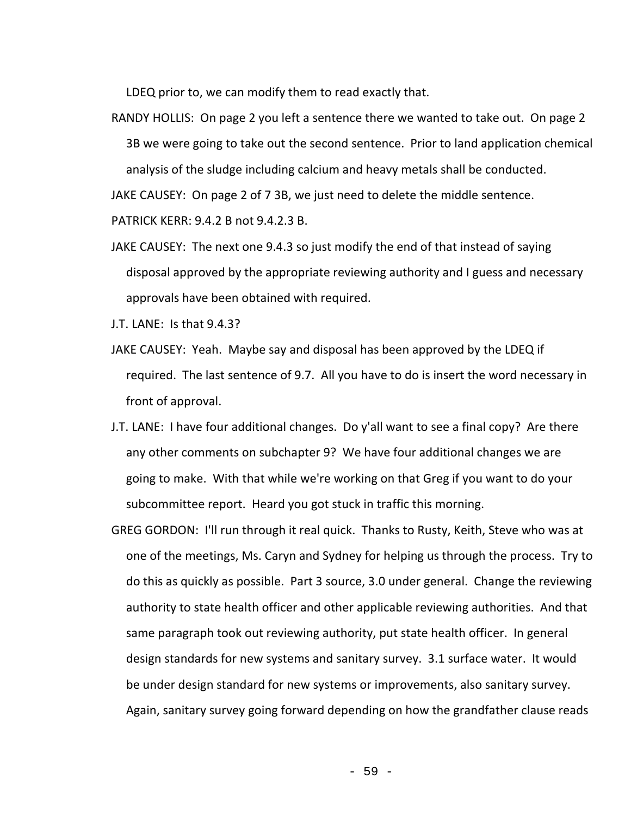LDEQ prior to, we can modify them to read exactly that.

RANDY HOLLIS: On page 2 you left a sentence there we wanted to take out. On page 2 3B we were going to take out the second sentence. Prior to land application chemical analysis of the sludge including calcium and heavy metals shall be conducted.

JAKE CAUSEY: On page 2 of 7 3B, we just need to delete the middle sentence.

PATRICK KERR: 9.4.2 B not 9.4.2.3 B.

JAKE CAUSEY: The next one 9.4.3 so just modify the end of that instead of saying disposal approved by the appropriate reviewing authority and I guess and necessary approvals have been obtained with required.

J.T. LANE: Is that 9.4.3?

- JAKE CAUSEY: Yeah. Maybe say and disposal has been approved by the LDEQ if required. The last sentence of 9.7. All you have to do is insert the word necessary in front of approval.
- J.T. LANE: I have four additional changes. Do y'all want to see a final copy? Are there any other comments on subchapter 9? We have four additional changes we are going to make. With that while we're working on that Greg if you want to do your subcommittee report. Heard you got stuck in traffic this morning.
- GREG GORDON: I'll run through it real quick. Thanks to Rusty, Keith, Steve who was at one of the meetings, Ms. Caryn and Sydney for helping us through the process. Try to do this as quickly as possible. Part 3 source, 3.0 under general. Change the reviewing authority to state health officer and other applicable reviewing authorities. And that same paragraph took out reviewing authority, put state health officer. In general design standards for new systems and sanitary survey. 3.1 surface water. It would be under design standard for new systems or improvements, also sanitary survey. Again, sanitary survey going forward depending on how the grandfather clause reads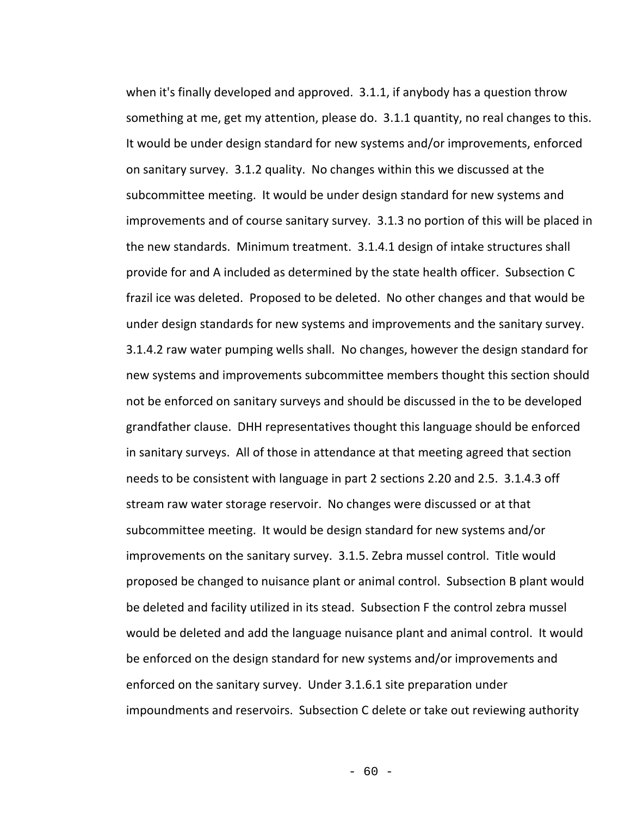when it's finally developed and approved. 3.1.1, if anybody has a question throw something at me, get my attention, please do. 3.1.1 quantity, no real changes to this. It would be under design standard for new systems and/or improvements, enforced on sanitary survey. 3.1.2 quality. No changes within this we discussed at the subcommittee meeting. It would be under design standard for new systems and improvements and of course sanitary survey. 3.1.3 no portion of this will be placed in the new standards. Minimum treatment. 3.1.4.1 design of intake structures shall provide for and A included as determined by the state health officer. Subsection C frazil ice was deleted. Proposed to be deleted. No other changes and that would be under design standards for new systems and improvements and the sanitary survey. 3.1.4.2 raw water pumping wells shall. No changes, however the design standard for new systems and improvements subcommittee members thought this section should not be enforced on sanitary surveys and should be discussed in the to be developed grandfather clause. DHH representatives thought this language should be enforced in sanitary surveys. All of those in attendance at that meeting agreed that section needs to be consistent with language in part 2 sections 2.20 and 2.5. 3.1.4.3 off stream raw water storage reservoir. No changes were discussed or at that subcommittee meeting. It would be design standard for new systems and/or improvements on the sanitary survey. 3.1.5. Zebra mussel control. Title would proposed be changed to nuisance plant or animal control. Subsection B plant would be deleted and facility utilized in its stead. Subsection F the control zebra mussel would be deleted and add the language nuisance plant and animal control. It would be enforced on the design standard for new systems and/or improvements and enforced on the sanitary survey. Under 3.1.6.1 site preparation under impoundments and reservoirs. Subsection C delete or take out reviewing authority

 $- 60 -$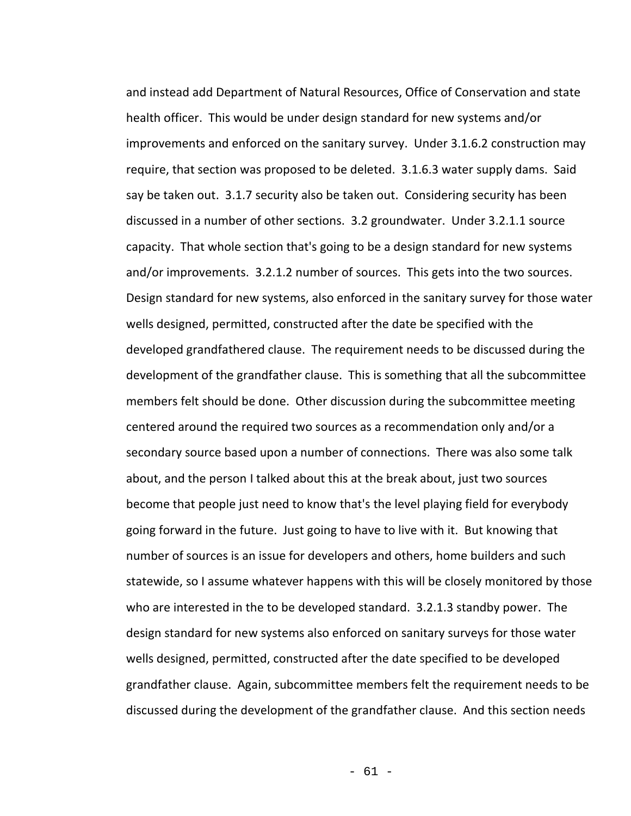and instead add Department of Natural Resources, Office of Conservation and state health officer. This would be under design standard for new systems and/or improvements and enforced on the sanitary survey. Under 3.1.6.2 construction may require, that section was proposed to be deleted. 3.1.6.3 water supply dams. Said say be taken out. 3.1.7 security also be taken out. Considering security has been discussed in a number of other sections. 3.2 groundwater. Under 3.2.1.1 source capacity. That whole section that's going to be a design standard for new systems and/or improvements. 3.2.1.2 number of sources. This gets into the two sources. Design standard for new systems, also enforced in the sanitary survey for those water wells designed, permitted, constructed after the date be specified with the developed grandfathered clause. The requirement needs to be discussed during the development of the grandfather clause. This is something that all the subcommittee members felt should be done. Other discussion during the subcommittee meeting centered around the required two sources as a recommendation only and/or a secondary source based upon a number of connections. There was also some talk about, and the person I talked about this at the break about, just two sources become that people just need to know that's the level playing field for everybody going forward in the future. Just going to have to live with it. But knowing that number of sources is an issue for developers and others, home builders and such statewide, so I assume whatever happens with this will be closely monitored by those who are interested in the to be developed standard. 3.2.1.3 standby power. The design standard for new systems also enforced on sanitary surveys for those water wells designed, permitted, constructed after the date specified to be developed grandfather clause. Again, subcommittee members felt the requirement needs to be discussed during the development of the grandfather clause. And this section needs

- 61 -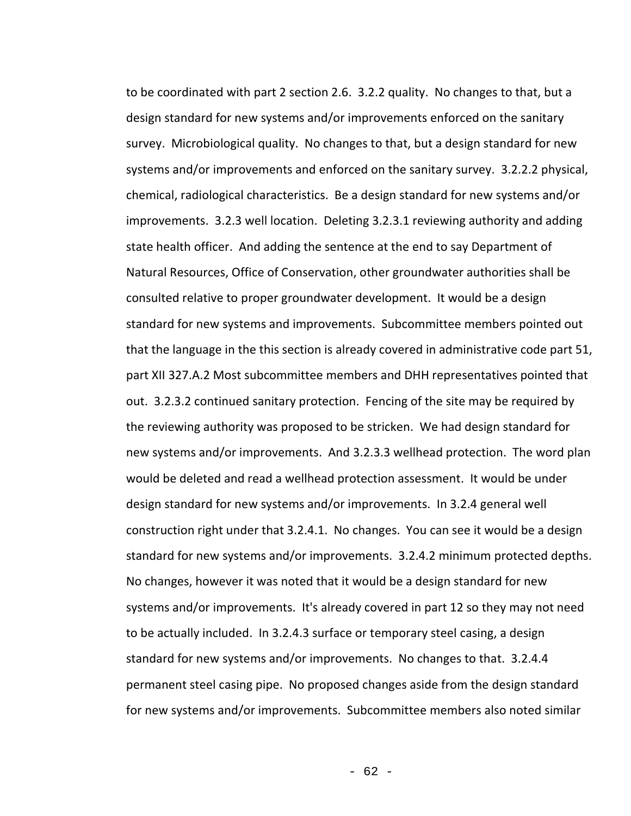to be coordinated with part 2 section 2.6. 3.2.2 quality. No changes to that, but a design standard for new systems and/or improvements enforced on the sanitary survey. Microbiological quality. No changes to that, but a design standard for new systems and/or improvements and enforced on the sanitary survey. 3.2.2.2 physical, chemical, radiological characteristics. Be a design standard for new systems and/or improvements. 3.2.3 well location. Deleting 3.2.3.1 reviewing authority and adding state health officer. And adding the sentence at the end to say Department of Natural Resources, Office of Conservation, other groundwater authorities shall be consulted relative to proper groundwater development. It would be a design standard for new systems and improvements. Subcommittee members pointed out that the language in the this section is already covered in administrative code part 51, part XII 327.A.2 Most subcommittee members and DHH representatives pointed that out. 3.2.3.2 continued sanitary protection. Fencing of the site may be required by the reviewing authority was proposed to be stricken. We had design standard for new systems and/or improvements. And 3.2.3.3 wellhead protection. The word plan would be deleted and read a wellhead protection assessment. It would be under design standard for new systems and/or improvements. In 3.2.4 general well construction right under that 3.2.4.1. No changes. You can see it would be a design standard for new systems and/or improvements. 3.2.4.2 minimum protected depths. No changes, however it was noted that it would be a design standard for new systems and/or improvements. It's already covered in part 12 so they may not need to be actually included. In 3.2.4.3 surface or temporary steel casing, a design standard for new systems and/or improvements. No changes to that. 3.2.4.4 permanent steel casing pipe. No proposed changes aside from the design standard for new systems and/or improvements. Subcommittee members also noted similar

- 62 -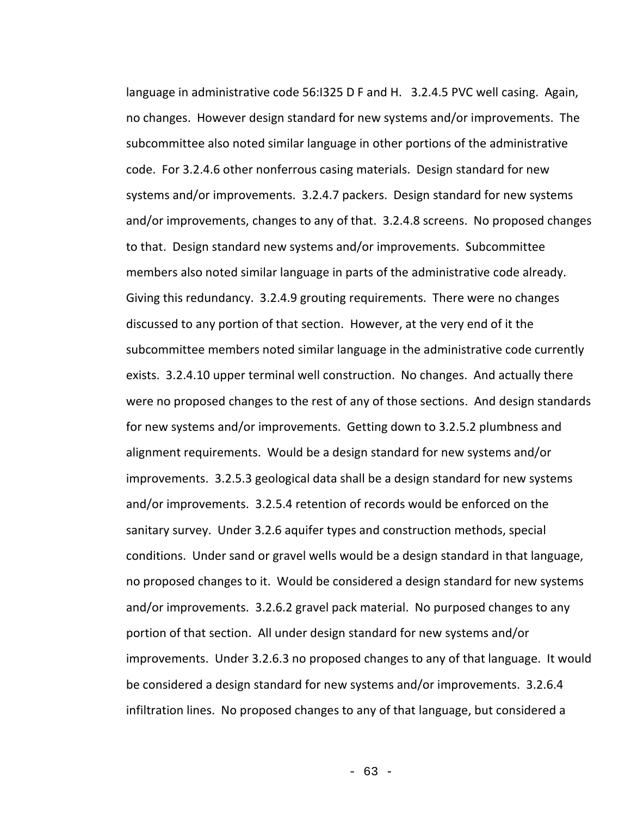language in administrative code 56:I325 D F and H. 3.2.4.5 PVC well casing. Again, no changes. However design standard for new systems and/or improvements. The subcommittee also noted similar language in other portions of the administrative code. For 3.2.4.6 other nonferrous casing materials. Design standard for new systems and/or improvements. 3.2.4.7 packers. Design standard for new systems and/or improvements, changes to any of that. 3.2.4.8 screens. No proposed changes to that. Design standard new systems and/or improvements. Subcommittee members also noted similar language in parts of the administrative code already. Giving this redundancy. 3.2.4.9 grouting requirements. There were no changes discussed to any portion of that section. However, at the very end of it the subcommittee members noted similar language in the administrative code currently exists. 3.2.4.10 upper terminal well construction. No changes. And actually there were no proposed changes to the rest of any of those sections. And design standards for new systems and/or improvements. Getting down to 3.2.5.2 plumbness and alignment requirements. Would be a design standard for new systems and/or improvements. 3.2.5.3 geological data shall be a design standard for new systems and/or improvements. 3.2.5.4 retention of records would be enforced on the sanitary survey. Under 3.2.6 aquifer types and construction methods, special conditions. Under sand or gravel wells would be a design standard in that language, no proposed changes to it. Would be considered a design standard for new systems and/or improvements. 3.2.6.2 gravel pack material. No purposed changes to any portion of that section. All under design standard for new systems and/or improvements. Under 3.2.6.3 no proposed changes to any of that language. It would be considered a design standard for new systems and/or improvements. 3.2.6.4 infiltration lines. No proposed changes to any of that language, but considered a

- 63 -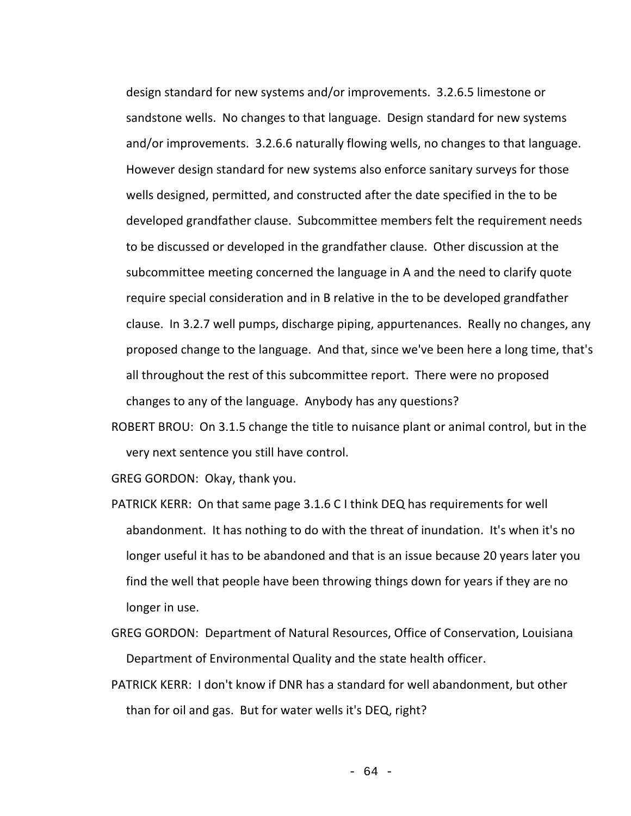design standard for new systems and/or improvements. 3.2.6.5 limestone or sandstone wells. No changes to that language. Design standard for new systems and/or improvements. 3.2.6.6 naturally flowing wells, no changes to that language. However design standard for new systems also enforce sanitary surveys for those wells designed, permitted, and constructed after the date specified in the to be developed grandfather clause. Subcommittee members felt the requirement needs to be discussed or developed in the grandfather clause. Other discussion at the subcommittee meeting concerned the language in A and the need to clarify quote require special consideration and in B relative in the to be developed grandfather clause. In 3.2.7 well pumps, discharge piping, appurtenances. Really no changes, any proposed change to the language. And that, since we've been here a long time, that's all throughout the rest of this subcommittee report. There were no proposed changes to any of the language. Anybody has any questions?

ROBERT BROU: On 3.1.5 change the title to nuisance plant or animal control, but in the very next sentence you still have control.

GREG GORDON: Okay, thank you.

- PATRICK KERR: On that same page 3.1.6 C I think DEQ has requirements for well abandonment. It has nothing to do with the threat of inundation. It's when it's no longer useful it has to be abandoned and that is an issue because 20 years later you find the well that people have been throwing things down for years if they are no longer in use.
- GREG GORDON: Department of Natural Resources, Office of Conservation, Louisiana Department of Environmental Quality and the state health officer.
- PATRICK KERR: I don't know if DNR has a standard for well abandonment, but other than for oil and gas. But for water wells it's DEQ, right?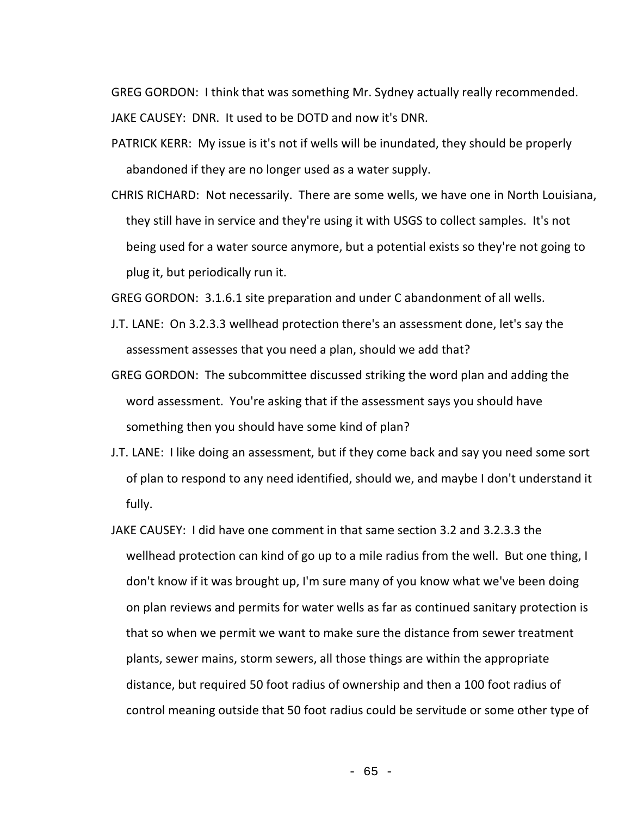GREG GORDON: I think that was something Mr. Sydney actually really recommended. JAKE CAUSEY: DNR. It used to be DOTD and now it's DNR.

PATRICK KERR: My issue is it's not if wells will be inundated, they should be properly abandoned if they are no longer used as a water supply.

CHRIS RICHARD: Not necessarily. There are some wells, we have one in North Louisiana, they still have in service and they're using it with USGS to collect samples. It's not being used for a water source anymore, but a potential exists so they're not going to plug it, but periodically run it.

GREG GORDON: 3.1.6.1 site preparation and under C abandonment of all wells.

- J.T. LANE: On 3.2.3.3 wellhead protection there's an assessment done, let's say the assessment assesses that you need a plan, should we add that?
- GREG GORDON: The subcommittee discussed striking the word plan and adding the word assessment. You're asking that if the assessment says you should have something then you should have some kind of plan?
- J.T. LANE: I like doing an assessment, but if they come back and say you need some sort of plan to respond to any need identified, should we, and maybe I don't understand it fully.
- JAKE CAUSEY: I did have one comment in that same section 3.2 and 3.2.3.3 the wellhead protection can kind of go up to a mile radius from the well. But one thing, I don't know if it was brought up, I'm sure many of you know what we've been doing on plan reviews and permits for water wells as far as continued sanitary protection is that so when we permit we want to make sure the distance from sewer treatment plants, sewer mains, storm sewers, all those things are within the appropriate distance, but required 50 foot radius of ownership and then a 100 foot radius of control meaning outside that 50 foot radius could be servitude or some other type of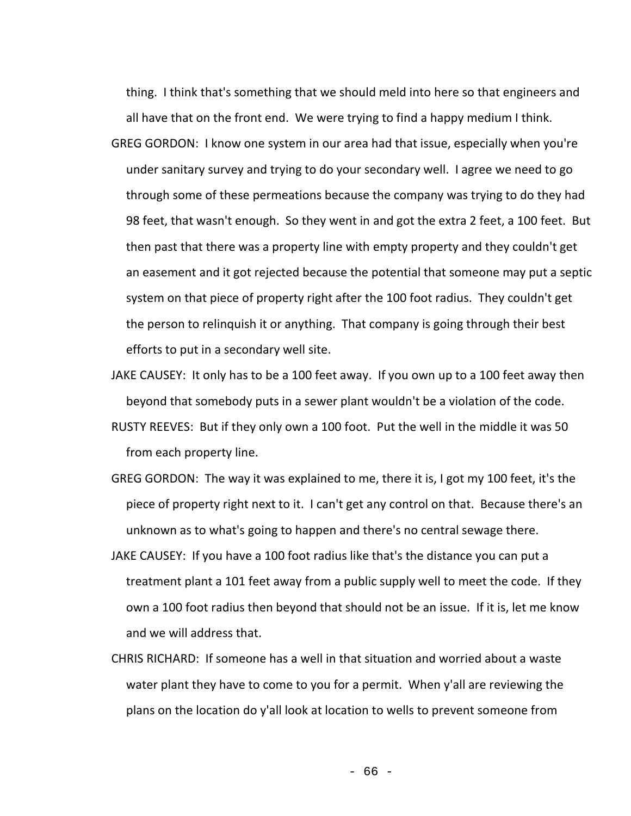thing. I think that's something that we should meld into here so that engineers and all have that on the front end. We were trying to find a happy medium I think. GREG GORDON: I know one system in our area had that issue, especially when you're under sanitary survey and trying to do your secondary well. I agree we need to go through some of these permeations because the company was trying to do they had 98 feet, that wasn't enough. So they went in and got the extra 2 feet, a 100 feet. But then past that there was a property line with empty property and they couldn't get an easement and it got rejected because the potential that someone may put a septic system on that piece of property right after the 100 foot radius. They couldn't get the person to relinquish it or anything. That company is going through their best efforts to put in a secondary well site.

JAKE CAUSEY: It only has to be a 100 feet away. If you own up to a 100 feet away then beyond that somebody puts in a sewer plant wouldn't be a violation of the code.

- RUSTY REEVES: But if they only own a 100 foot. Put the well in the middle it was 50 from each property line.
- GREG GORDON: The way it was explained to me, there it is, I got my 100 feet, it's the piece of property right next to it. I can't get any control on that. Because there's an unknown as to what's going to happen and there's no central sewage there.
- JAKE CAUSEY: If you have a 100 foot radius like that's the distance you can put a treatment plant a 101 feet away from a public supply well to meet the code. If they own a 100 foot radius then beyond that should not be an issue. If it is, let me know and we will address that.
- CHRIS RICHARD: If someone has a well in that situation and worried about a waste water plant they have to come to you for a permit. When y'all are reviewing the plans on the location do y'all look at location to wells to prevent someone from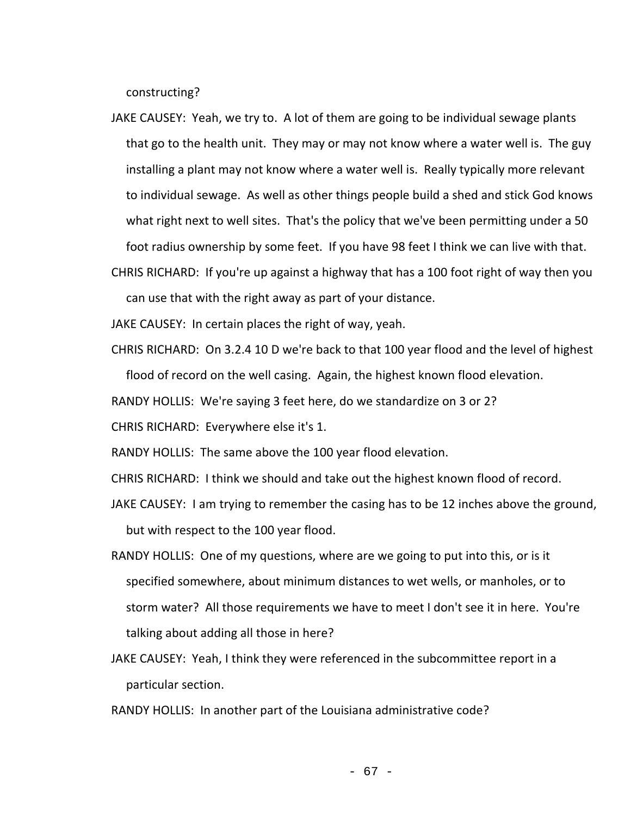constructing?

JAKE CAUSEY: Yeah, we try to. A lot of them are going to be individual sewage plants that go to the health unit. They may or may not know where a water well is. The guy installing a plant may not know where a water well is. Really typically more relevant to individual sewage. As well as other things people build a shed and stick God knows what right next to well sites. That's the policy that we've been permitting under a 50 foot radius ownership by some feet. If you have 98 feet I think we can live with that.

CHRIS RICHARD: If you're up against a highway that has a 100 foot right of way then you can use that with the right away as part of your distance.

JAKE CAUSEY: In certain places the right of way, yeah.

CHRIS RICHARD: On 3.2.4 10 D we're back to that 100 year flood and the level of highest flood of record on the well casing. Again, the highest known flood elevation.

RANDY HOLLIS: We're saying 3 feet here, do we standardize on 3 or 2?

CHRIS RICHARD: Everywhere else it's 1.

RANDY HOLLIS: The same above the 100 year flood elevation.

CHRIS RICHARD: I think we should and take out the highest known flood of record.

- JAKE CAUSEY: I am trying to remember the casing has to be 12 inches above the ground, but with respect to the 100 year flood.
- RANDY HOLLIS: One of my questions, where are we going to put into this, or is it specified somewhere, about minimum distances to wet wells, or manholes, or to storm water? All those requirements we have to meet I don't see it in here. You're talking about adding all those in here?
- JAKE CAUSEY: Yeah, I think they were referenced in the subcommittee report in a particular section.

RANDY HOLLIS: In another part of the Louisiana administrative code?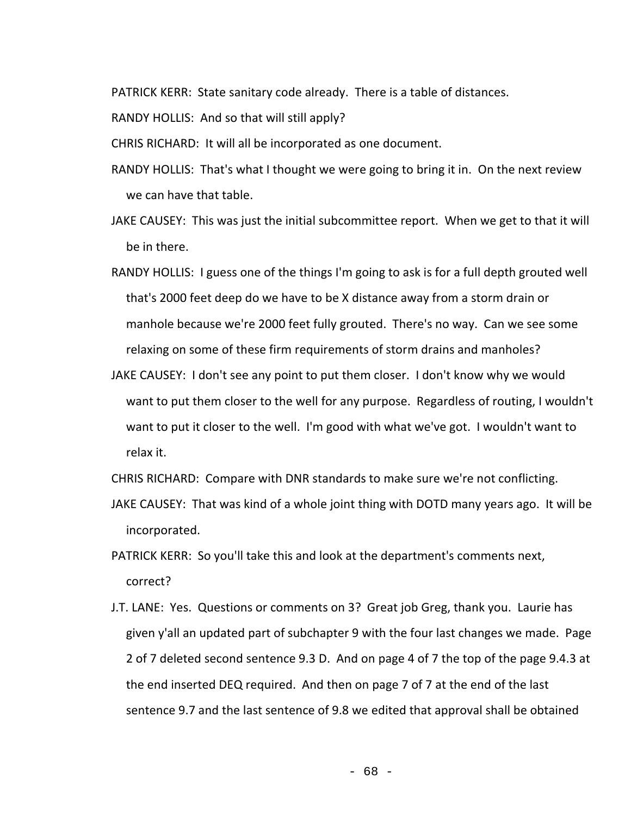PATRICK KERR: State sanitary code already. There is a table of distances.

RANDY HOLLIS: And so that will still apply?

CHRIS RICHARD: It will all be incorporated as one document.

- RANDY HOLLIS: That's what I thought we were going to bring it in. On the next review we can have that table.
- JAKE CAUSEY: This was just the initial subcommittee report. When we get to that it will be in there.
- RANDY HOLLIS: I guess one of the things I'm going to ask is for a full depth grouted well that's 2000 feet deep do we have to be X distance away from a storm drain or manhole because we're 2000 feet fully grouted. There's no way. Can we see some relaxing on some of these firm requirements of storm drains and manholes?
- JAKE CAUSEY: I don't see any point to put them closer. I don't know why we would want to put them closer to the well for any purpose. Regardless of routing, I wouldn't want to put it closer to the well. I'm good with what we've got. I wouldn't want to relax it.

CHRIS RICHARD: Compare with DNR standards to make sure we're not conflicting.

- JAKE CAUSEY: That was kind of a whole joint thing with DOTD many years ago. It will be incorporated.
- PATRICK KERR: So you'll take this and look at the department's comments next, correct?
- J.T. LANE: Yes. Questions or comments on 3? Great job Greg, thank you. Laurie has given y'all an updated part of subchapter 9 with the four last changes we made. Page 2 of 7 deleted second sentence 9.3 D. And on page 4 of 7 the top of the page 9.4.3 at the end inserted DEQ required. And then on page 7 of 7 at the end of the last sentence 9.7 and the last sentence of 9.8 we edited that approval shall be obtained